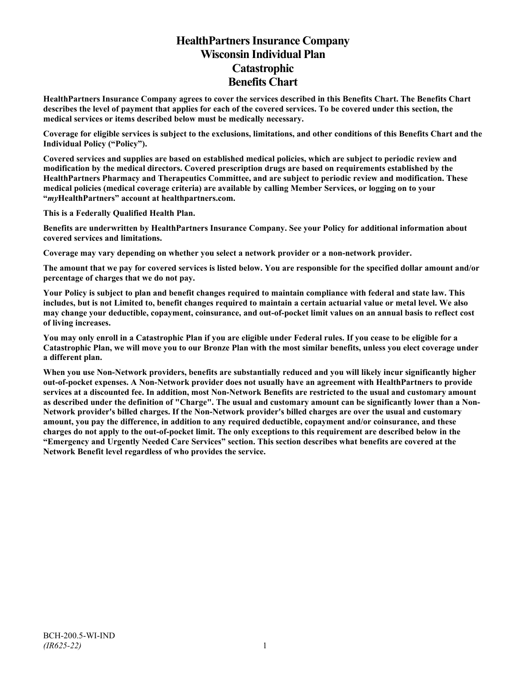# **HealthPartners Insurance Company Wisconsin Individual Plan Catastrophic Benefits Chart**

**HealthPartners Insurance Company agrees to cover the services described in this Benefits Chart. The Benefits Chart describes the level of payment that applies for each of the covered services. To be covered under this section, the medical services or items described below must be medically necessary.**

**Coverage for eligible services is subject to the exclusions, limitations, and other conditions of this Benefits Chart and the Individual Policy ("Policy").**

**Covered services and supplies are based on established medical policies, which are subject to periodic review and modification by the medical directors. Covered prescription drugs are based on requirements established by the HealthPartners Pharmacy and Therapeutics Committee, and are subject to periodic review and modification. These medical policies (medical coverage criteria) are available by calling Member Services, or logging on to your "***my***HealthPartners" account at [healthpartners.com.](http://www.healthpartners.com/)**

**This is a Federally Qualified Health Plan.**

**Benefits are underwritten by HealthPartners Insurance Company. See your Policy for additional information about covered services and limitations.**

**Coverage may vary depending on whether you select a network provider or a non-network provider.**

**The amount that we pay for covered services is listed below. You are responsible for the specified dollar amount and/or percentage of charges that we do not pay.**

**Your Policy is subject to plan and benefit changes required to maintain compliance with federal and state law. This includes, but is not Limited to, benefit changes required to maintain a certain actuarial value or metal level. We also may change your deductible, copayment, coinsurance, and out-of-pocket limit values on an annual basis to reflect cost of living increases.**

**You may only enroll in a Catastrophic Plan if you are eligible under Federal rules. If you cease to be eligible for a Catastrophic Plan, we will move you to our Bronze Plan with the most similar benefits, unless you elect coverage under a different plan.**

**When you use Non-Network providers, benefits are substantially reduced and you will likely incur significantly higher out-of-pocket expenses. A Non-Network provider does not usually have an agreement with HealthPartners to provide services at a discounted fee. In addition, most Non-Network Benefits are restricted to the usual and customary amount as described under the definition of "Charge". The usual and customary amount can be significantly lower than a Non-Network provider's billed charges. If the Non-Network provider's billed charges are over the usual and customary amount, you pay the difference, in addition to any required deductible, copayment and/or coinsurance, and these charges do not apply to the out-of-pocket limit. The only exceptions to this requirement are described below in the "Emergency and Urgently Needed Care Services" section. This section describes what benefits are covered at the Network Benefit level regardless of who provides the service.**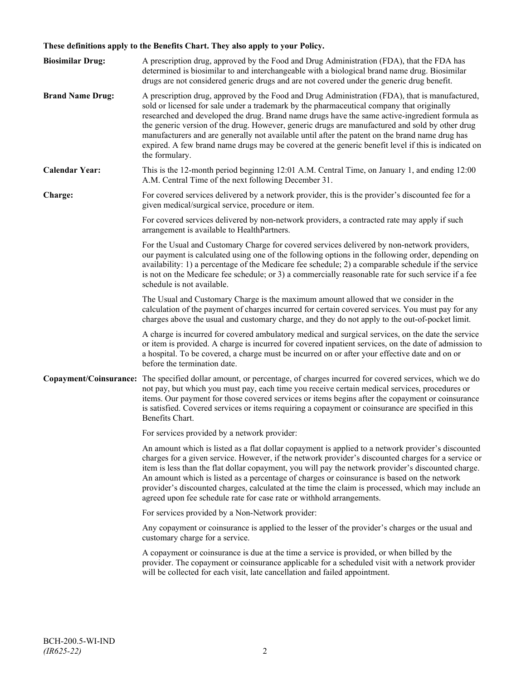# **These definitions apply to the Benefits Chart. They also apply to your Policy.**

| <b>Biosimilar Drug:</b> | A prescription drug, approved by the Food and Drug Administration (FDA), that the FDA has<br>determined is biosimilar to and interchangeable with a biological brand name drug. Biosimilar<br>drugs are not considered generic drugs and are not covered under the generic drug benefit.                                                                                                                                                                                                                                                                                                                                     |
|-------------------------|------------------------------------------------------------------------------------------------------------------------------------------------------------------------------------------------------------------------------------------------------------------------------------------------------------------------------------------------------------------------------------------------------------------------------------------------------------------------------------------------------------------------------------------------------------------------------------------------------------------------------|
| <b>Brand Name Drug:</b> | A prescription drug, approved by the Food and Drug Administration (FDA), that is manufactured,<br>sold or licensed for sale under a trademark by the pharmaceutical company that originally<br>researched and developed the drug. Brand name drugs have the same active-ingredient formula as<br>the generic version of the drug. However, generic drugs are manufactured and sold by other drug<br>manufacturers and are generally not available until after the patent on the brand name drug has<br>expired. A few brand name drugs may be covered at the generic benefit level if this is indicated on<br>the formulary. |
| <b>Calendar Year:</b>   | This is the 12-month period beginning 12:01 A.M. Central Time, on January 1, and ending 12:00<br>A.M. Central Time of the next following December 31.                                                                                                                                                                                                                                                                                                                                                                                                                                                                        |
| Charge:                 | For covered services delivered by a network provider, this is the provider's discounted fee for a<br>given medical/surgical service, procedure or item.                                                                                                                                                                                                                                                                                                                                                                                                                                                                      |
|                         | For covered services delivered by non-network providers, a contracted rate may apply if such<br>arrangement is available to HealthPartners.                                                                                                                                                                                                                                                                                                                                                                                                                                                                                  |
|                         | For the Usual and Customary Charge for covered services delivered by non-network providers,<br>our payment is calculated using one of the following options in the following order, depending on<br>availability: 1) a percentage of the Medicare fee schedule; 2) a comparable schedule if the service<br>is not on the Medicare fee schedule; or 3) a commercially reasonable rate for such service if a fee<br>schedule is not available.                                                                                                                                                                                 |
|                         | The Usual and Customary Charge is the maximum amount allowed that we consider in the<br>calculation of the payment of charges incurred for certain covered services. You must pay for any<br>charges above the usual and customary charge, and they do not apply to the out-of-pocket limit.                                                                                                                                                                                                                                                                                                                                 |
|                         | A charge is incurred for covered ambulatory medical and surgical services, on the date the service<br>or item is provided. A charge is incurred for covered inpatient services, on the date of admission to<br>a hospital. To be covered, a charge must be incurred on or after your effective date and on or<br>before the termination date.                                                                                                                                                                                                                                                                                |
|                         | Copayment/Coinsurance: The specified dollar amount, or percentage, of charges incurred for covered services, which we do<br>not pay, but which you must pay, each time you receive certain medical services, procedures or<br>items. Our payment for those covered services or items begins after the copayment or coinsurance<br>is satisfied. Covered services or items requiring a copayment or coinsurance are specified in this<br>Benefits Chart.                                                                                                                                                                      |
|                         | For services provided by a network provider:                                                                                                                                                                                                                                                                                                                                                                                                                                                                                                                                                                                 |
|                         | An amount which is listed as a flat dollar copayment is applied to a network provider's discounted<br>charges for a given service. However, if the network provider's discounted charges for a service or<br>item is less than the flat dollar copayment, you will pay the network provider's discounted charge.<br>An amount which is listed as a percentage of charges or coinsurance is based on the network<br>provider's discounted charges, calculated at the time the claim is processed, which may include an<br>agreed upon fee schedule rate for case rate or withhold arrangements.                               |
|                         | For services provided by a Non-Network provider:                                                                                                                                                                                                                                                                                                                                                                                                                                                                                                                                                                             |
|                         | Any copayment or coinsurance is applied to the lesser of the provider's charges or the usual and<br>customary charge for a service.                                                                                                                                                                                                                                                                                                                                                                                                                                                                                          |
|                         | A copayment or coinsurance is due at the time a service is provided, or when billed by the<br>provider. The copayment or coinsurance applicable for a scheduled visit with a network provider<br>will be collected for each visit, late cancellation and failed appointment.                                                                                                                                                                                                                                                                                                                                                 |
|                         |                                                                                                                                                                                                                                                                                                                                                                                                                                                                                                                                                                                                                              |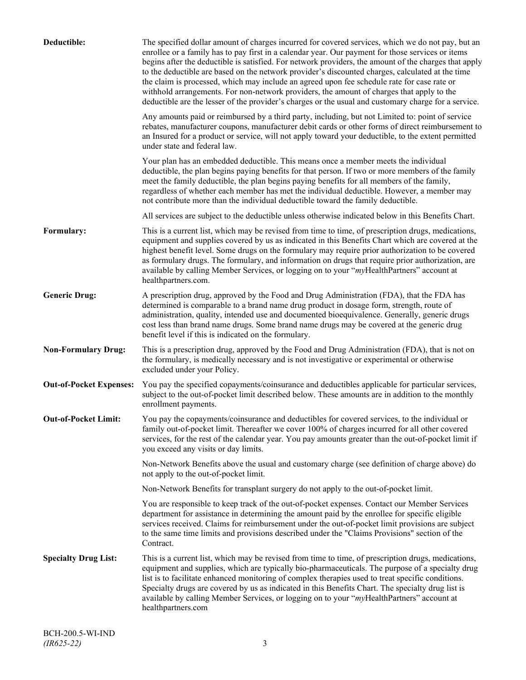| Deductible:                    | The specified dollar amount of charges incurred for covered services, which we do not pay, but an<br>enrollee or a family has to pay first in a calendar year. Our payment for those services or items<br>begins after the deductible is satisfied. For network providers, the amount of the charges that apply<br>to the deductible are based on the network provider's discounted charges, calculated at the time<br>the claim is processed, which may include an agreed upon fee schedule rate for case rate or<br>withhold arrangements. For non-network providers, the amount of charges that apply to the<br>deductible are the lesser of the provider's charges or the usual and customary charge for a service. |
|--------------------------------|-------------------------------------------------------------------------------------------------------------------------------------------------------------------------------------------------------------------------------------------------------------------------------------------------------------------------------------------------------------------------------------------------------------------------------------------------------------------------------------------------------------------------------------------------------------------------------------------------------------------------------------------------------------------------------------------------------------------------|
|                                | Any amounts paid or reimbursed by a third party, including, but not Limited to: point of service<br>rebates, manufacturer coupons, manufacturer debit cards or other forms of direct reimbursement to<br>an Insured for a product or service, will not apply toward your deductible, to the extent permitted<br>under state and federal law.                                                                                                                                                                                                                                                                                                                                                                            |
|                                | Your plan has an embedded deductible. This means once a member meets the individual<br>deductible, the plan begins paying benefits for that person. If two or more members of the family<br>meet the family deductible, the plan begins paying benefits for all members of the family,<br>regardless of whether each member has met the individual deductible. However, a member may<br>not contribute more than the individual deductible toward the family deductible.                                                                                                                                                                                                                                                |
|                                | All services are subject to the deductible unless otherwise indicated below in this Benefits Chart.                                                                                                                                                                                                                                                                                                                                                                                                                                                                                                                                                                                                                     |
| Formulary:                     | This is a current list, which may be revised from time to time, of prescription drugs, medications,<br>equipment and supplies covered by us as indicated in this Benefits Chart which are covered at the<br>highest benefit level. Some drugs on the formulary may require prior authorization to be covered<br>as formulary drugs. The formulary, and information on drugs that require prior authorization, are<br>available by calling Member Services, or logging on to your "myHealthPartners" account at<br>healthpartners.com.                                                                                                                                                                                   |
| <b>Generic Drug:</b>           | A prescription drug, approved by the Food and Drug Administration (FDA), that the FDA has<br>determined is comparable to a brand name drug product in dosage form, strength, route of<br>administration, quality, intended use and documented bioequivalence. Generally, generic drugs<br>cost less than brand name drugs. Some brand name drugs may be covered at the generic drug<br>benefit level if this is indicated on the formulary.                                                                                                                                                                                                                                                                             |
| <b>Non-Formulary Drug:</b>     | This is a prescription drug, approved by the Food and Drug Administration (FDA), that is not on<br>the formulary, is medically necessary and is not investigative or experimental or otherwise<br>excluded under your Policy.                                                                                                                                                                                                                                                                                                                                                                                                                                                                                           |
| <b>Out-of-Pocket Expenses:</b> | You pay the specified copayments/coinsurance and deductibles applicable for particular services,<br>subject to the out-of-pocket limit described below. These amounts are in addition to the monthly<br>enrollment payments.                                                                                                                                                                                                                                                                                                                                                                                                                                                                                            |
| <b>Out-of-Pocket Limit:</b>    | You pay the copayments/coinsurance and deductibles for covered services, to the individual or<br>family out-of-pocket limit. Thereafter we cover 100% of charges incurred for all other covered<br>services, for the rest of the calendar year. You pay amounts greater than the out-of-pocket limit if<br>you exceed any visits or day limits.                                                                                                                                                                                                                                                                                                                                                                         |
|                                | Non-Network Benefits above the usual and customary charge (see definition of charge above) do<br>not apply to the out-of-pocket limit.                                                                                                                                                                                                                                                                                                                                                                                                                                                                                                                                                                                  |
|                                | Non-Network Benefits for transplant surgery do not apply to the out-of-pocket limit.                                                                                                                                                                                                                                                                                                                                                                                                                                                                                                                                                                                                                                    |
|                                | You are responsible to keep track of the out-of-pocket expenses. Contact our Member Services<br>department for assistance in determining the amount paid by the enrollee for specific eligible<br>services received. Claims for reimbursement under the out-of-pocket limit provisions are subject<br>to the same time limits and provisions described under the "Claims Provisions" section of the<br>Contract.                                                                                                                                                                                                                                                                                                        |
| <b>Specialty Drug List:</b>    | This is a current list, which may be revised from time to time, of prescription drugs, medications,<br>equipment and supplies, which are typically bio-pharmaceuticals. The purpose of a specialty drug<br>list is to facilitate enhanced monitoring of complex therapies used to treat specific conditions.<br>Specialty drugs are covered by us as indicated in this Benefits Chart. The specialty drug list is<br>available by calling Member Services, or logging on to your "myHealthPartners" account at<br>healthpartners.com                                                                                                                                                                                    |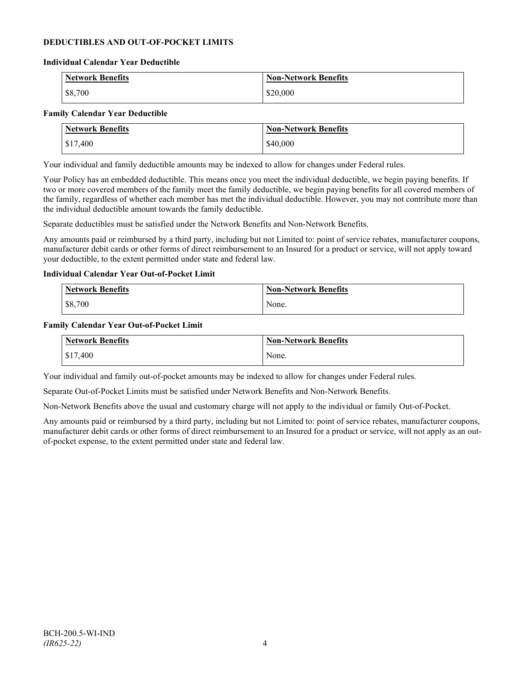## **DEDUCTIBLES AND OUT-OF-POCKET LIMITS**

#### **Individual Calendar Year Deductible**

| <b>Network Benefits</b> | <b>Non-Network Benefits</b> |
|-------------------------|-----------------------------|
| \$8,700                 | \$20,000                    |

#### **Family Calendar Year Deductible**

| <b>Network Benefits</b> | <b>Non-Network Benefits</b> |
|-------------------------|-----------------------------|
| $\frac{$17,400}{}$      | \$40,000                    |

Your individual and family deductible amounts may be indexed to allow for changes under Federal rules.

Your Policy has an embedded deductible. This means once you meet the individual deductible, we begin paying benefits. If two or more covered members of the family meet the family deductible, we begin paying benefits for all covered members of the family, regardless of whether each member has met the individual deductible. However, you may not contribute more than the individual deductible amount towards the family deductible.

Separate deductibles must be satisfied under the Network Benefits and Non-Network Benefits.

Any amounts paid or reimbursed by a third party, including but not Limited to: point of service rebates, manufacturer coupons, manufacturer debit cards or other forms of direct reimbursement to an Insured for a product or service, will not apply toward your deductible, to the extent permitted under state and federal law.

#### **Individual Calendar Year Out-of-Pocket Limit**

| <b>Network Benefits</b> | <b>Non-Network Benefits</b> |
|-------------------------|-----------------------------|
| \$8,700                 | None.                       |

#### **Family Calendar Year Out-of-Pocket Limit**

| Network Benefits | Non-Network Benefits |
|------------------|----------------------|
| \$17,400         | None.                |

Your individual and family out-of-pocket amounts may be indexed to allow for changes under Federal rules.

Separate Out-of-Pocket Limits must be satisfied under Network Benefits and Non-Network Benefits.

Non-Network Benefits above the usual and customary charge will not apply to the individual or family Out-of-Pocket.

Any amounts paid or reimbursed by a third party, including but not Limited to: point of service rebates, manufacturer coupons, manufacturer debit cards or other forms of direct reimbursement to an Insured for a product or service, will not apply as an outof-pocket expense, to the extent permitted under state and federal law.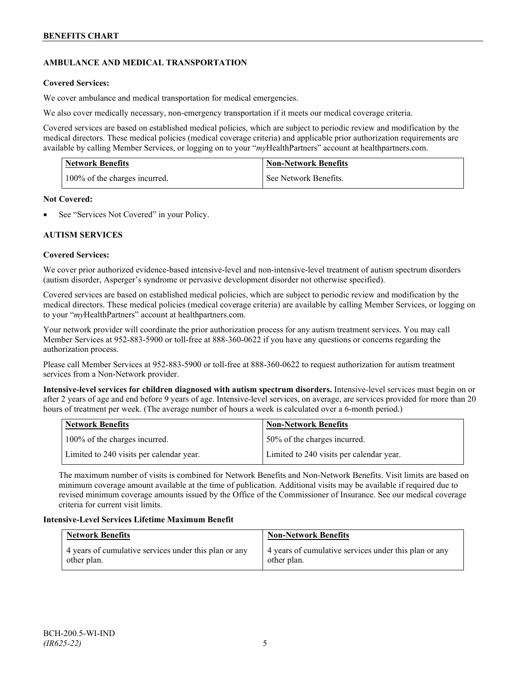# **AMBULANCE AND MEDICAL TRANSPORTATION**

# **Covered Services:**

We cover ambulance and medical transportation for medical emergencies.

We also cover medically necessary, non-emergency transportation if it meets our medical coverage criteria.

Covered services are based on established medical policies, which are subject to periodic review and modification by the medical directors. These medical policies (medical coverage criteria) and applicable prior authorization requirements are available by calling Member Services, or logging on to your "*my*HealthPartners" account a[t healthpartners.com.](http://www.healthpartners.com/)

| <b>Network Benefits</b>       | <b>Non-Network Benefits</b> |
|-------------------------------|-----------------------------|
| 100% of the charges incurred. | See Network Benefits.       |

## **Not Covered:**

See "Services Not Covered" in your Policy.

## **AUTISM SERVICES**

## **Covered Services:**

We cover prior authorized evidence-based intensive-level and non-intensive-level treatment of autism spectrum disorders (autism disorder, Asperger's syndrome or pervasive development disorder not otherwise specified).

Covered services are based on established medical policies, which are subject to periodic review and modification by the medical directors. These medical policies (medical coverage criteria) are available by calling Member Services, or logging on to your "*my*HealthPartners" account at [healthpartners.com.](http://www.healthpartners.com/)

Your network provider will coordinate the prior authorization process for any autism treatment services. You may call Member Services at 952-883-5900 or toll-free at 888-360-0622 if you have any questions or concerns regarding the authorization process.

Please call Member Services at 952-883-5900 or toll-free at 888-360-0622 to request authorization for autism treatment services from a Non-Network provider.

**Intensive-level services for children diagnosed with autism spectrum disorders.** Intensive-level services must begin on or after 2 years of age and end before 9 years of age. Intensive-level services, on average, are services provided for more than 20 hours of treatment per week. (The average number of hours a week is calculated over a 6-month period.)

| Network Benefits                         | <b>Non-Network Benefits</b>              |
|------------------------------------------|------------------------------------------|
| 100% of the charges incurred.            | 50% of the charges incurred.             |
| Limited to 240 visits per calendar year. | Limited to 240 visits per calendar year. |

The maximum number of visits is combined for Network Benefits and Non-Network Benefits. Visit limits are based on minimum coverage amount available at the time of publication. Additional visits may be available if required due to revised minimum coverage amounts issued by the Office of the Commissioner of Insurance. See our medical coverage criteria for current visit limits.

## **Intensive-Level Services Lifetime Maximum Benefit**

| <b>Network Benefits</b>                               | <b>Non-Network Benefits</b>                           |
|-------------------------------------------------------|-------------------------------------------------------|
| 4 years of cumulative services under this plan or any | 4 years of cumulative services under this plan or any |
| other plan.                                           | other plan.                                           |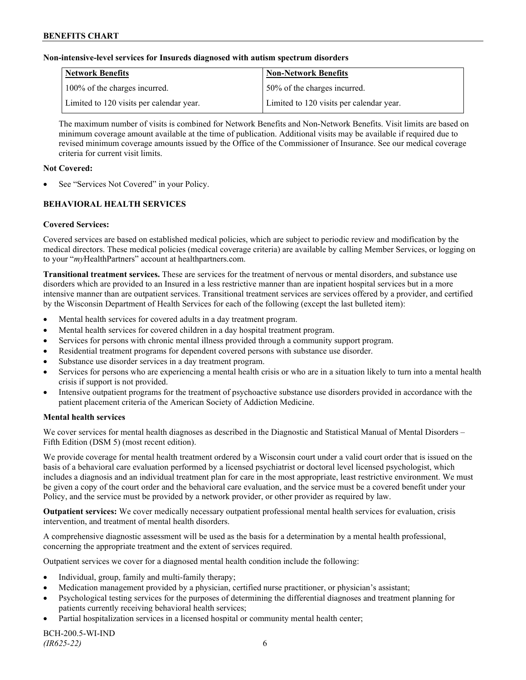#### **Non-intensive-level services for Insureds diagnosed with autism spectrum disorders**

| Network Benefits                         | <b>Non-Network Benefits</b>              |
|------------------------------------------|------------------------------------------|
| 100% of the charges incurred.            | 50% of the charges incurred.             |
| Limited to 120 visits per calendar year. | Limited to 120 visits per calendar year. |

The maximum number of visits is combined for Network Benefits and Non-Network Benefits. Visit limits are based on minimum coverage amount available at the time of publication. Additional visits may be available if required due to revised minimum coverage amounts issued by the Office of the Commissioner of Insurance. See our medical coverage criteria for current visit limits.

#### **Not Covered:**

See "Services Not Covered" in your Policy.

# **BEHAVIORAL HEALTH SERVICES**

#### **Covered Services:**

Covered services are based on established medical policies, which are subject to periodic review and modification by the medical directors. These medical policies (medical coverage criteria) are available by calling Member Services, or logging on to your "*my*HealthPartners" account at [healthpartners.com.](http://www.healthpartners.com/)

**Transitional treatment services.** These are services for the treatment of nervous or mental disorders, and substance use disorders which are provided to an Insured in a less restrictive manner than are inpatient hospital services but in a more intensive manner than are outpatient services. Transitional treatment services are services offered by a provider, and certified by the Wisconsin Department of Health Services for each of the following (except the last bulleted item):

- Mental health services for covered adults in a day treatment program.
- Mental health services for covered children in a day hospital treatment program.
- Services for persons with chronic mental illness provided through a community support program.
- Residential treatment programs for dependent covered persons with substance use disorder.
- Substance use disorder services in a day treatment program.
- Services for persons who are experiencing a mental health crisis or who are in a situation likely to turn into a mental health crisis if support is not provided.
- Intensive outpatient programs for the treatment of psychoactive substance use disorders provided in accordance with the patient placement criteria of the American Society of Addiction Medicine.

#### **Mental health services**

We cover services for mental health diagnoses as described in the Diagnostic and Statistical Manual of Mental Disorders – Fifth Edition (DSM 5) (most recent edition).

We provide coverage for mental health treatment ordered by a Wisconsin court under a valid court order that is issued on the basis of a behavioral care evaluation performed by a licensed psychiatrist or doctoral level licensed psychologist, which includes a diagnosis and an individual treatment plan for care in the most appropriate, least restrictive environment. We must be given a copy of the court order and the behavioral care evaluation, and the service must be a covered benefit under your Policy, and the service must be provided by a network provider, or other provider as required by law.

**Outpatient services:** We cover medically necessary outpatient professional mental health services for evaluation, crisis intervention, and treatment of mental health disorders.

A comprehensive diagnostic assessment will be used as the basis for a determination by a mental health professional, concerning the appropriate treatment and the extent of services required.

Outpatient services we cover for a diagnosed mental health condition include the following:

- Individual, group, family and multi-family therapy;
- Medication management provided by a physician, certified nurse practitioner, or physician's assistant;
- Psychological testing services for the purposes of determining the differential diagnoses and treatment planning for patients currently receiving behavioral health services;
- Partial hospitalization services in a licensed hospital or community mental health center;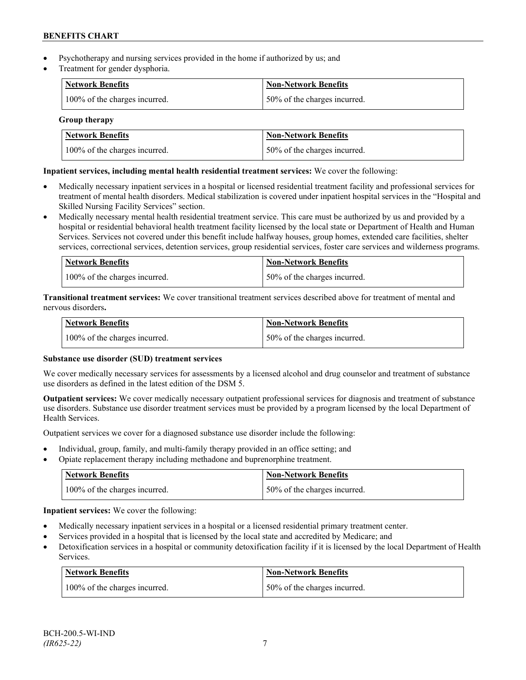- Psychotherapy and nursing services provided in the home if authorized by us; and
- Treatment for gender dysphoria.

| Network Benefits              | <b>Non-Network Benefits</b>  |
|-------------------------------|------------------------------|
| 100% of the charges incurred. | 50% of the charges incurred. |

## **Group therapy**

| <b>Network Benefits</b>       | <b>Non-Network Benefits</b>  |
|-------------------------------|------------------------------|
| 100% of the charges incurred. | 50% of the charges incurred. |

# **Inpatient services, including mental health residential treatment services:** We cover the following:

- Medically necessary inpatient services in a hospital or licensed residential treatment facility and professional services for treatment of mental health disorders. Medical stabilization is covered under inpatient hospital services in the "Hospital and Skilled Nursing Facility Services" section.
- Medically necessary mental health residential treatment service. This care must be authorized by us and provided by a hospital or residential behavioral health treatment facility licensed by the local state or Department of Health and Human Services. Services not covered under this benefit include halfway houses, group homes, extended care facilities, shelter services, correctional services, detention services, group residential services, foster care services and wilderness programs.

| Network Benefits              | Non-Network Benefits         |
|-------------------------------|------------------------------|
| 100% of the charges incurred. | 50% of the charges incurred. |

**Transitional treatment services:** We cover transitional treatment services described above for treatment of mental and nervous disorders**.**

| Network Benefits              | Non-Network Benefits         |
|-------------------------------|------------------------------|
| 100% of the charges incurred. | 50% of the charges incurred. |

# **Substance use disorder (SUD) treatment services**

We cover medically necessary services for assessments by a licensed alcohol and drug counselor and treatment of substance use disorders as defined in the latest edition of the DSM 5.

**Outpatient services:** We cover medically necessary outpatient professional services for diagnosis and treatment of substance use disorders. Substance use disorder treatment services must be provided by a program licensed by the local Department of Health Services.

Outpatient services we cover for a diagnosed substance use disorder include the following:

- Individual, group, family, and multi-family therapy provided in an office setting; and
- Opiate replacement therapy including methadone and buprenorphine treatment.

| <b>Network Benefits</b>       | <b>Non-Network Benefits</b>   |
|-------------------------------|-------------------------------|
| 100% of the charges incurred. | 150% of the charges incurred. |

**Inpatient services:** We cover the following:

- Medically necessary inpatient services in a hospital or a licensed residential primary treatment center.
- Services provided in a hospital that is licensed by the local state and accredited by Medicare; and
- Detoxification services in a hospital or community detoxification facility if it is licensed by the local Department of Health Services.

| <b>Network Benefits</b>       | <b>Non-Network Benefits</b>  |
|-------------------------------|------------------------------|
| 100% of the charges incurred. | 50% of the charges incurred. |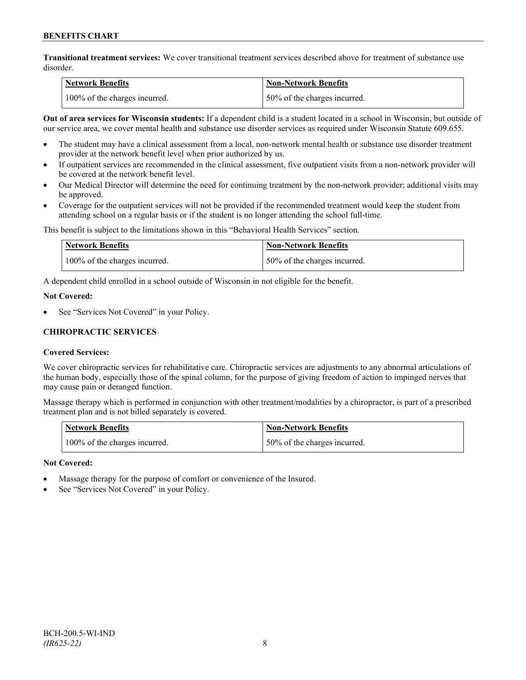**Transitional treatment services:** We cover transitional treatment services described above for treatment of substance use disorder.

| Network Benefits              | <b>Non-Network Benefits</b>  |
|-------------------------------|------------------------------|
| 100% of the charges incurred. | 50% of the charges incurred. |

**Out of area services for Wisconsin students:** If a dependent child is a student located in a school in Wisconsin, but outside of our service area, we cover mental health and substance use disorder services as required under Wisconsin Statute 609.655.

- The student may have a clinical assessment from a local, non-network mental health or substance use disorder treatment provider at the network benefit level when prior authorized by us.
- If outpatient services are recommended in the clinical assessment, five outpatient visits from a non-network provider will be covered at the network benefit level.
- Our Medical Director will determine the need for continuing treatment by the non-network provider; additional visits may be approved.
- Coverage for the outpatient services will not be provided if the recommended treatment would keep the student from attending school on a regular basis or if the student is no longer attending the school full-time.

This benefit is subject to the limitations shown in this "Behavioral Health Services" section.

| Network Benefits              | Non-Network Benefits         |
|-------------------------------|------------------------------|
| 100% of the charges incurred. | 50% of the charges incurred. |

A dependent child enrolled in a school outside of Wisconsin in not eligible for the benefit.

#### **Not Covered:**

See "Services Not Covered" in your Policy.

# **CHIROPRACTIC SERVICES**

## **Covered Services:**

We cover chiropractic services for rehabilitative care. Chiropractic services are adjustments to any abnormal articulations of the human body, especially those of the spinal column, for the purpose of giving freedom of action to impinged nerves that may cause pain or deranged function.

Massage therapy which is performed in conjunction with other treatment/modalities by a chiropractor, is part of a prescribed treatment plan and is not billed separately is covered.

| <b>Network Benefits</b>       | Non-Network Benefits         |
|-------------------------------|------------------------------|
| 100% of the charges incurred. | 50% of the charges incurred. |

## **Not Covered:**

- Massage therapy for the purpose of comfort or convenience of the Insured.
- See "Services Not Covered" in your Policy.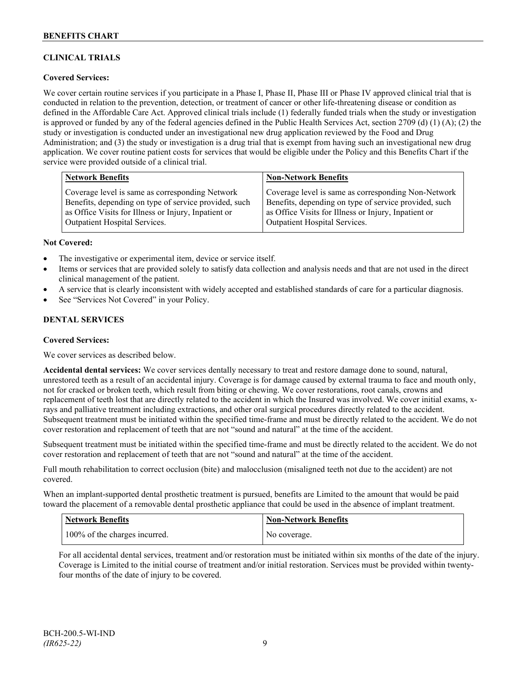# **CLINICAL TRIALS**

## **Covered Services:**

We cover certain routine services if you participate in a Phase I, Phase II, Phase III or Phase IV approved clinical trial that is conducted in relation to the prevention, detection, or treatment of cancer or other life-threatening disease or condition as defined in the Affordable Care Act. Approved clinical trials include (1) federally funded trials when the study or investigation is approved or funded by any of the federal agencies defined in the Public Health Services Act, section 2709 (d) (1) (A); (2) the study or investigation is conducted under an investigational new drug application reviewed by the Food and Drug Administration; and (3) the study or investigation is a drug trial that is exempt from having such an investigational new drug application. We cover routine patient costs for services that would be eligible under the Policy and this Benefits Chart if the service were provided outside of a clinical trial.

| <b>Network Benefits</b>                               | <b>Non-Network Benefits</b>                           |
|-------------------------------------------------------|-------------------------------------------------------|
| Coverage level is same as corresponding Network       | Coverage level is same as corresponding Non-Network   |
| Benefits, depending on type of service provided, such | Benefits, depending on type of service provided, such |
| as Office Visits for Illness or Injury, Inpatient or  | as Office Visits for Illness or Injury, Inpatient or  |
| <b>Outpatient Hospital Services.</b>                  | Outpatient Hospital Services.                         |

#### **Not Covered:**

- The investigative or experimental item, device or service itself.
- Items or services that are provided solely to satisfy data collection and analysis needs and that are not used in the direct clinical management of the patient.
- A service that is clearly inconsistent with widely accepted and established standards of care for a particular diagnosis.
- See "Services Not Covered" in your Policy.

## **DENTAL SERVICES**

#### **Covered Services:**

We cover services as described below.

**Accidental dental services:** We cover services dentally necessary to treat and restore damage done to sound, natural, unrestored teeth as a result of an accidental injury. Coverage is for damage caused by external trauma to face and mouth only, not for cracked or broken teeth, which result from biting or chewing. We cover restorations, root canals, crowns and replacement of teeth lost that are directly related to the accident in which the Insured was involved. We cover initial exams, xrays and palliative treatment including extractions, and other oral surgical procedures directly related to the accident. Subsequent treatment must be initiated within the specified time-frame and must be directly related to the accident. We do not cover restoration and replacement of teeth that are not "sound and natural" at the time of the accident.

Subsequent treatment must be initiated within the specified time-frame and must be directly related to the accident. We do not cover restoration and replacement of teeth that are not "sound and natural" at the time of the accident.

Full mouth rehabilitation to correct occlusion (bite) and malocclusion (misaligned teeth not due to the accident) are not covered.

When an implant-supported dental prosthetic treatment is pursued, benefits are Limited to the amount that would be paid toward the placement of a removable dental prosthetic appliance that could be used in the absence of implant treatment.

| <b>Network Benefits</b>       | <b>Non-Network Benefits</b> |
|-------------------------------|-----------------------------|
| 100% of the charges incurred. | No coverage.                |

For all accidental dental services, treatment and/or restoration must be initiated within six months of the date of the injury. Coverage is Limited to the initial course of treatment and/or initial restoration. Services must be provided within twentyfour months of the date of injury to be covered.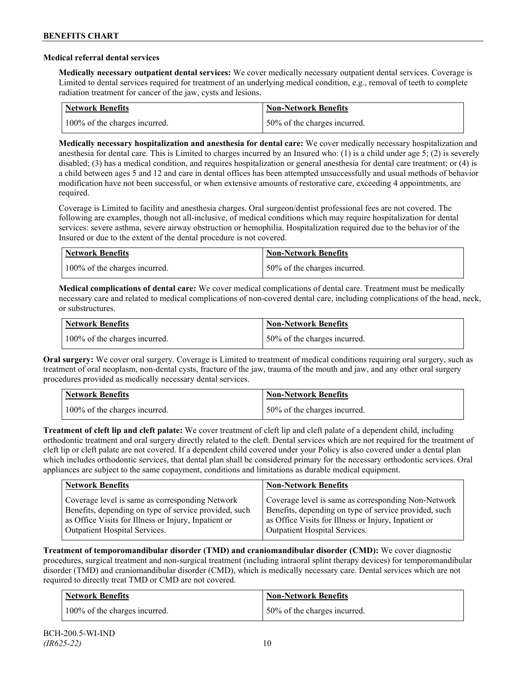#### **Medical referral dental services**

**Medically necessary outpatient dental services:** We cover medically necessary outpatient dental services. Coverage is Limited to dental services required for treatment of an underlying medical condition, e.g., removal of teeth to complete radiation treatment for cancer of the jaw, cysts and lesions.

| Network Benefits              | <b>Non-Network Benefits</b>  |
|-------------------------------|------------------------------|
| 100% of the charges incurred. | 50% of the charges incurred. |

**Medically necessary hospitalization and anesthesia for dental care:** We cover medically necessary hospitalization and anesthesia for dental care. This is Limited to charges incurred by an Insured who: (1) is a child under age 5; (2) is severely disabled; (3) has a medical condition, and requires hospitalization or general anesthesia for dental care treatment; or (4) is a child between ages 5 and 12 and care in dental offices has been attempted unsuccessfully and usual methods of behavior modification have not been successful, or when extensive amounts of restorative care, exceeding 4 appointments, are required.

Coverage is Limited to facility and anesthesia charges. Oral surgeon/dentist professional fees are not covered. The following are examples, though not all-inclusive, of medical conditions which may require hospitalization for dental services: severe asthma, severe airway obstruction or hemophilia. Hospitalization required due to the behavior of the Insured or due to the extent of the dental procedure is not covered.

| Network Benefits              | <b>Non-Network Benefits</b>  |
|-------------------------------|------------------------------|
| 100% of the charges incurred. | 50% of the charges incurred. |

**Medical complications of dental care:** We cover medical complications of dental care. Treatment must be medically necessary care and related to medical complications of non-covered dental care, including complications of the head, neck, or substructures.

| Network Benefits              | <b>Non-Network Benefits</b>  |
|-------------------------------|------------------------------|
| 100% of the charges incurred. | 50% of the charges incurred. |

**Oral surgery:** We cover oral surgery. Coverage is Limited to treatment of medical conditions requiring oral surgery, such as treatment of oral neoplasm, non-dental cysts, fracture of the jaw, trauma of the mouth and jaw, and any other oral surgery procedures provided as medically necessary dental services.

| <b>Network Benefits</b>       | <b>Non-Network Benefits</b>  |
|-------------------------------|------------------------------|
| 100% of the charges incurred. | 50% of the charges incurred. |

**Treatment of cleft lip and cleft palate:** We cover treatment of cleft lip and cleft palate of a dependent child, including orthodontic treatment and oral surgery directly related to the cleft. Dental services which are not required for the treatment of cleft lip or cleft palate are not covered. If a dependent child covered under your Policy is also covered under a dental plan which includes orthodontic services, that dental plan shall be considered primary for the necessary orthodontic services. Oral appliances are subject to the same copayment, conditions and limitations as durable medical equipment.

| <b>Network Benefits</b>                               | <b>Non-Network Benefits</b>                           |
|-------------------------------------------------------|-------------------------------------------------------|
| Coverage level is same as corresponding Network       | Coverage level is same as corresponding Non-Network   |
| Benefits, depending on type of service provided, such | Benefits, depending on type of service provided, such |
| as Office Visits for Illness or Injury, Inpatient or  | as Office Visits for Illness or Injury, Inpatient or  |
| Outpatient Hospital Services.                         | Outpatient Hospital Services.                         |

**Treatment of temporomandibular disorder (TMD) and craniomandibular disorder (CMD):** We cover diagnostic procedures, surgical treatment and non-surgical treatment (including intraoral splint therapy devices) for temporomandibular disorder (TMD) and craniomandibular disorder (CMD), which is medically necessary care. Dental services which are not required to directly treat TMD or CMD are not covered.

| <b>Network Benefits</b>       | <b>Non-Network Benefits</b>  |
|-------------------------------|------------------------------|
| 100% of the charges incurred. | 50% of the charges incurred. |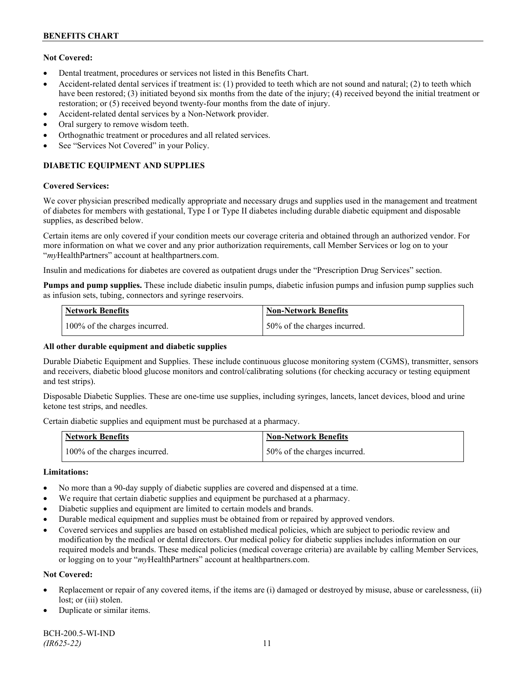# **Not Covered:**

- Dental treatment, procedures or services not listed in this Benefits Chart.
- Accident-related dental services if treatment is: (1) provided to teeth which are not sound and natural; (2) to teeth which have been restored; (3) initiated beyond six months from the date of the injury; (4) received beyond the initial treatment or restoration; or (5) received beyond twenty-four months from the date of injury.
- Accident-related dental services by a Non-Network provider.
- Oral surgery to remove wisdom teeth.
- Orthognathic treatment or procedures and all related services.
- See "Services Not Covered" in your Policy.

# **DIABETIC EQUIPMENT AND SUPPLIES**

#### **Covered Services:**

We cover physician prescribed medically appropriate and necessary drugs and supplies used in the management and treatment of diabetes for members with gestational, Type I or Type II diabetes including durable diabetic equipment and disposable supplies, as described below.

Certain items are only covered if your condition meets our coverage criteria and obtained through an authorized vendor. For more information on what we cover and any prior authorization requirements, call Member Services or log on to your "*my*HealthPartners" account at [healthpartners.com.](http://www.healthpartners.com/)

Insulin and medications for diabetes are covered as outpatient drugs under the "Prescription Drug Services" section.

**Pumps and pump supplies.** These include diabetic insulin pumps, diabetic infusion pumps and infusion pump supplies such as infusion sets, tubing, connectors and syringe reservoirs.

| <b>Network Benefits</b>       | Non-Network Benefits         |
|-------------------------------|------------------------------|
| 100% of the charges incurred. | 50% of the charges incurred. |

## **All other durable equipment and diabetic supplies**

Durable Diabetic Equipment and Supplies. These include continuous glucose monitoring system (CGMS), transmitter, sensors and receivers, diabetic blood glucose monitors and control/calibrating solutions (for checking accuracy or testing equipment and test strips).

Disposable Diabetic Supplies. These are one-time use supplies, including syringes, lancets, lancet devices, blood and urine ketone test strips, and needles.

Certain diabetic supplies and equipment must be purchased at a pharmacy.

| <b>Network Benefits</b>       | <b>Non-Network Benefits</b>  |
|-------------------------------|------------------------------|
| 100% of the charges incurred. | 50% of the charges incurred. |

## **Limitations:**

- No more than a 90-day supply of diabetic supplies are covered and dispensed at a time.
- We require that certain diabetic supplies and equipment be purchased at a pharmacy.
- Diabetic supplies and equipment are limited to certain models and brands.
- Durable medical equipment and supplies must be obtained from or repaired by approved vendors.
- Covered services and supplies are based on established medical policies, which are subject to periodic review and modification by the medical or dental directors. Our medical policy for diabetic supplies includes information on our required models and brands. These medical policies (medical coverage criteria) are available by calling Member Services, or logging on to your "*my*HealthPartners" account at healthpartners.com.

## **Not Covered:**

- Replacement or repair of any covered items, if the items are (i) damaged or destroyed by misuse, abuse or carelessness, (ii) lost; or (iii) stolen.
- Duplicate or similar items.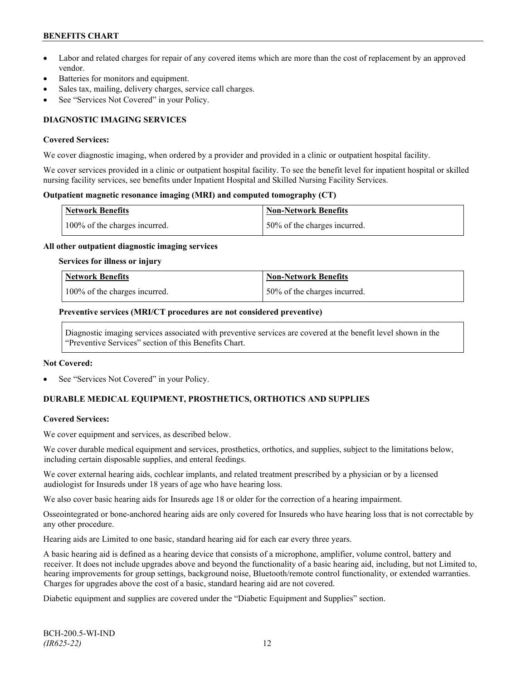- Labor and related charges for repair of any covered items which are more than the cost of replacement by an approved vendor.
- Batteries for monitors and equipment.
- Sales tax, mailing, delivery charges, service call charges.
- See "Services Not Covered" in your Policy.

# **DIAGNOSTIC IMAGING SERVICES**

#### **Covered Services:**

We cover diagnostic imaging, when ordered by a provider and provided in a clinic or outpatient hospital facility.

We cover services provided in a clinic or outpatient hospital facility. To see the benefit level for inpatient hospital or skilled nursing facility services, see benefits under Inpatient Hospital and Skilled Nursing Facility Services.

#### **Outpatient magnetic resonance imaging (MRI) and computed tomography (CT)**

| <b>Network Benefits</b>       | Non-Network Benefits         |
|-------------------------------|------------------------------|
| 100% of the charges incurred. | 50% of the charges incurred. |

#### **All other outpatient diagnostic imaging services**

#### **Services for illness or injury**

| Network Benefits              | <b>Non-Network Benefits</b>  |
|-------------------------------|------------------------------|
| 100% of the charges incurred. | 50% of the charges incurred. |

#### **Preventive services (MRI/CT procedures are not considered preventive)**

Diagnostic imaging services associated with preventive services are covered at the benefit level shown in the "Preventive Services" section of this Benefits Chart.

#### **Not Covered:**

See "Services Not Covered" in your Policy.

# **DURABLE MEDICAL EQUIPMENT, PROSTHETICS, ORTHOTICS AND SUPPLIES**

## **Covered Services:**

We cover equipment and services, as described below.

We cover durable medical equipment and services, prosthetics, orthotics, and supplies, subject to the limitations below, including certain disposable supplies, and enteral feedings.

We cover external hearing aids, cochlear implants, and related treatment prescribed by a physician or by a licensed audiologist for Insureds under 18 years of age who have hearing loss.

We also cover basic hearing aids for Insureds age 18 or older for the correction of a hearing impairment.

Osseointegrated or bone-anchored hearing aids are only covered for Insureds who have hearing loss that is not correctable by any other procedure.

Hearing aids are Limited to one basic, standard hearing aid for each ear every three years.

A basic hearing aid is defined as a hearing device that consists of a microphone, amplifier, volume control, battery and receiver. It does not include upgrades above and beyond the functionality of a basic hearing aid, including, but not Limited to, hearing improvements for group settings, background noise, Bluetooth/remote control functionality, or extended warranties. Charges for upgrades above the cost of a basic, standard hearing aid are not covered.

Diabetic equipment and supplies are covered under the "Diabetic Equipment and Supplies" section.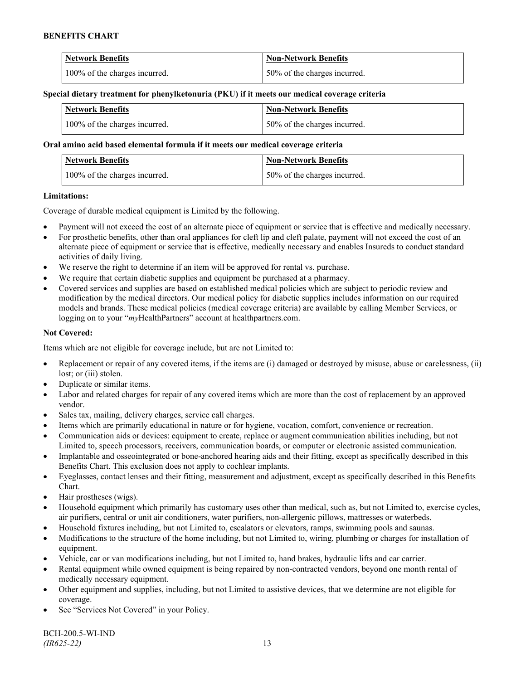| <b>Network Benefits</b>       | <b>Non-Network Benefits</b>  |
|-------------------------------|------------------------------|
| 100% of the charges incurred. | 50% of the charges incurred. |

#### **Special dietary treatment for phenylketonuria (PKU) if it meets our medical coverage criteria**

| Network Benefits              | <b>Non-Network Benefits</b>  |
|-------------------------------|------------------------------|
| 100% of the charges incurred. | 50% of the charges incurred. |

#### **Oral amino acid based elemental formula if it meets our medical coverage criteria**

| <b>Network Benefits</b>       | <b>Non-Network Benefits</b>  |
|-------------------------------|------------------------------|
| 100% of the charges incurred. | 50% of the charges incurred. |

#### **Limitations:**

Coverage of durable medical equipment is Limited by the following.

- Payment will not exceed the cost of an alternate piece of equipment or service that is effective and medically necessary.
- For prosthetic benefits, other than oral appliances for cleft lip and cleft palate, payment will not exceed the cost of an alternate piece of equipment or service that is effective, medically necessary and enables Insureds to conduct standard activities of daily living.
- We reserve the right to determine if an item will be approved for rental vs. purchase.
- We require that certain diabetic supplies and equipment be purchased at a pharmacy.
- Covered services and supplies are based on established medical policies which are subject to periodic review and modification by the medical directors. Our medical policy for diabetic supplies includes information on our required models and brands. These medical policies (medical coverage criteria) are available by calling Member Services, or logging on to your "*my*HealthPartners" account at [healthpartners.com.](http://www.healthpartners.com/)

## **Not Covered:**

Items which are not eligible for coverage include, but are not Limited to:

- Replacement or repair of any covered items, if the items are (i) damaged or destroyed by misuse, abuse or carelessness, (ii) lost; or (iii) stolen.
- Duplicate or similar items.
- Labor and related charges for repair of any covered items which are more than the cost of replacement by an approved vendor.
- Sales tax, mailing, delivery charges, service call charges.
- Items which are primarily educational in nature or for hygiene, vocation, comfort, convenience or recreation.
- Communication aids or devices: equipment to create, replace or augment communication abilities including, but not Limited to, speech processors, receivers, communication boards, or computer or electronic assisted communication.
- Implantable and osseointegrated or bone-anchored hearing aids and their fitting, except as specifically described in this Benefits Chart. This exclusion does not apply to cochlear implants.
- Eyeglasses, contact lenses and their fitting, measurement and adjustment, except as specifically described in this Benefits Chart.
- Hair prostheses (wigs).
- Household equipment which primarily has customary uses other than medical, such as, but not Limited to, exercise cycles, air purifiers, central or unit air conditioners, water purifiers, non-allergenic pillows, mattresses or waterbeds.
- Household fixtures including, but not Limited to, escalators or elevators, ramps, swimming pools and saunas.
- Modifications to the structure of the home including, but not Limited to, wiring, plumbing or charges for installation of equipment.
- Vehicle, car or van modifications including, but not Limited to, hand brakes, hydraulic lifts and car carrier.
- Rental equipment while owned equipment is being repaired by non-contracted vendors, beyond one month rental of medically necessary equipment.
- Other equipment and supplies, including, but not Limited to assistive devices, that we determine are not eligible for coverage.
- See "Services Not Covered" in your Policy.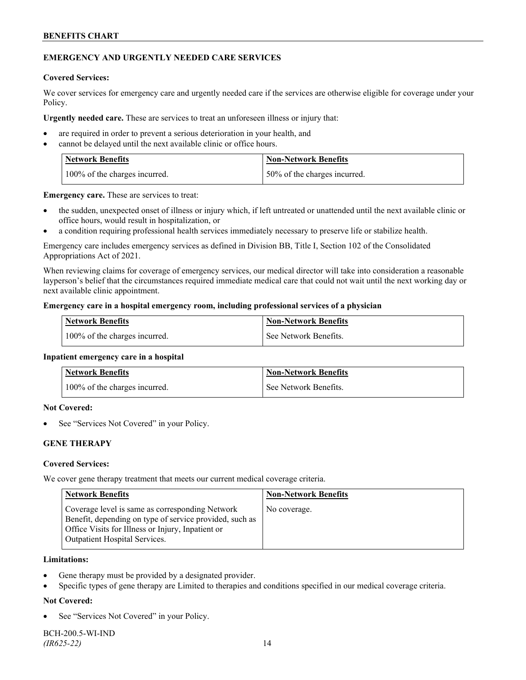## **EMERGENCY AND URGENTLY NEEDED CARE SERVICES**

#### **Covered Services:**

We cover services for emergency care and urgently needed care if the services are otherwise eligible for coverage under your Policy.

**Urgently needed care.** These are services to treat an unforeseen illness or injury that:

- are required in order to prevent a serious deterioration in your health, and
- cannot be delayed until the next available clinic or office hours.

| <b>Network Benefits</b>       | <b>Non-Network Benefits</b>  |
|-------------------------------|------------------------------|
| 100% of the charges incurred. | 50% of the charges incurred. |

**Emergency care.** These are services to treat:

- the sudden, unexpected onset of illness or injury which, if left untreated or unattended until the next available clinic or office hours, would result in hospitalization, or
- a condition requiring professional health services immediately necessary to preserve life or stabilize health.

Emergency care includes emergency services as defined in Division BB, Title I, Section 102 of the Consolidated Appropriations Act of 2021.

When reviewing claims for coverage of emergency services, our medical director will take into consideration a reasonable layperson's belief that the circumstances required immediate medical care that could not wait until the next working day or next available clinic appointment.

#### **Emergency care in a hospital emergency room, including professional services of a physician**

| <b>Network Benefits</b>       | <b>Non-Network Benefits</b> |
|-------------------------------|-----------------------------|
| 100% of the charges incurred. | See Network Benefits.       |

#### **Inpatient emergency care in a hospital**

| Network Benefits              | <b>Non-Network Benefits</b> |
|-------------------------------|-----------------------------|
| 100% of the charges incurred. | See Network Benefits.       |

#### **Not Covered:**

See "Services Not Covered" in your Policy.

# **GENE THERAPY**

#### **Covered Services:**

We cover gene therapy treatment that meets our current medical coverage criteria.

| <b>Network Benefits</b>                                                                                                                                                                          | <b>Non-Network Benefits</b> |
|--------------------------------------------------------------------------------------------------------------------------------------------------------------------------------------------------|-----------------------------|
| Coverage level is same as corresponding Network<br>Benefit, depending on type of service provided, such as<br>Office Visits for Illness or Injury, Inpatient or<br>Outpatient Hospital Services. | No coverage.                |

#### **Limitations:**

- Gene therapy must be provided by a designated provider.
- Specific types of gene therapy are Limited to therapies and conditions specified in our medical coverage criteria.

## **Not Covered:**

See "Services Not Covered" in your Policy.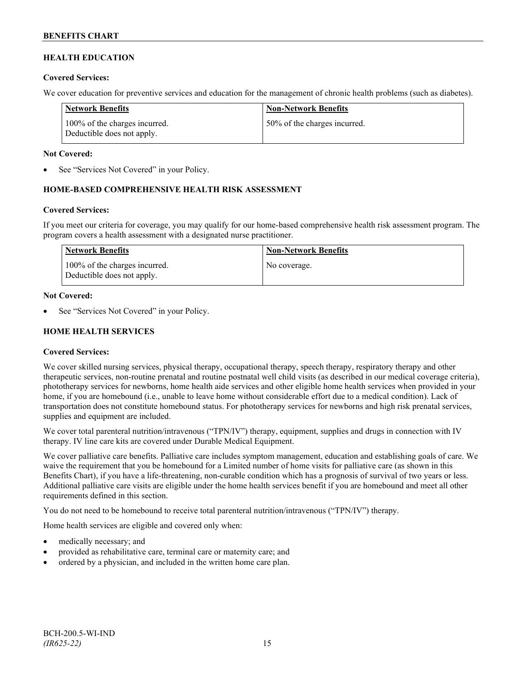# **HEALTH EDUCATION**

#### **Covered Services:**

We cover education for preventive services and education for the management of chronic health problems (such as diabetes).

| Network Benefits                                            | <b>Non-Network Benefits</b>  |
|-------------------------------------------------------------|------------------------------|
| 100% of the charges incurred.<br>Deductible does not apply. | 50% of the charges incurred. |

#### **Not Covered:**

See "Services Not Covered" in your Policy.

## **HOME-BASED COMPREHENSIVE HEALTH RISK ASSESSMENT**

#### **Covered Services:**

If you meet our criteria for coverage, you may qualify for our home-based comprehensive health risk assessment program. The program covers a health assessment with a designated nurse practitioner.

| Network Benefits                                            | <b>Non-Network Benefits</b> |
|-------------------------------------------------------------|-----------------------------|
| 100% of the charges incurred.<br>Deductible does not apply. | No coverage.                |

#### **Not Covered:**

See "Services Not Covered" in your Policy.

## **HOME HEALTH SERVICES**

## **Covered Services:**

We cover skilled nursing services, physical therapy, occupational therapy, speech therapy, respiratory therapy and other therapeutic services, non-routine prenatal and routine postnatal well child visits (as described in our medical coverage criteria), phototherapy services for newborns, home health aide services and other eligible home health services when provided in your home, if you are homebound (i.e., unable to leave home without considerable effort due to a medical condition). Lack of transportation does not constitute homebound status. For phototherapy services for newborns and high risk prenatal services, supplies and equipment are included.

We cover total parenteral nutrition/intravenous ("TPN/IV") therapy, equipment, supplies and drugs in connection with IV therapy. IV line care kits are covered under Durable Medical Equipment.

We cover palliative care benefits. Palliative care includes symptom management, education and establishing goals of care. We waive the requirement that you be homebound for a Limited number of home visits for palliative care (as shown in this Benefits Chart), if you have a life-threatening, non-curable condition which has a prognosis of survival of two years or less. Additional palliative care visits are eligible under the home health services benefit if you are homebound and meet all other requirements defined in this section.

You do not need to be homebound to receive total parenteral nutrition/intravenous ("TPN/IV") therapy.

Home health services are eligible and covered only when:

- medically necessary; and
- provided as rehabilitative care, terminal care or maternity care; and
- ordered by a physician, and included in the written home care plan.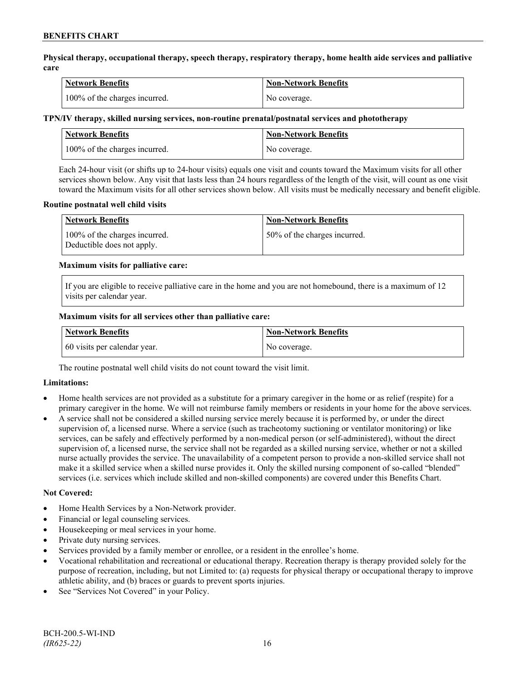**Physical therapy, occupational therapy, speech therapy, respiratory therapy, home health aide services and palliative care**

| Network Benefits              | <b>Non-Network Benefits</b> |
|-------------------------------|-----------------------------|
| 100% of the charges incurred. | No coverage.                |

### **TPN/IV therapy, skilled nursing services, non-routine prenatal/postnatal services and phototherapy**

| <b>Network Benefits</b>       | Non-Network Benefits |
|-------------------------------|----------------------|
| 100% of the charges incurred. | No coverage.         |

Each 24-hour visit (or shifts up to 24-hour visits) equals one visit and counts toward the Maximum visits for all other services shown below. Any visit that lasts less than 24 hours regardless of the length of the visit, will count as one visit toward the Maximum visits for all other services shown below. All visits must be medically necessary and benefit eligible.

#### **Routine postnatal well child visits**

| <b>Network Benefits</b>                                     | <b>Non-Network Benefits</b>  |
|-------------------------------------------------------------|------------------------------|
| 100% of the charges incurred.<br>Deductible does not apply. | 50% of the charges incurred. |

#### **Maximum visits for palliative care:**

If you are eligible to receive palliative care in the home and you are not homebound, there is a maximum of 12 visits per calendar year.

#### **Maximum visits for all services other than palliative care:**

| <b>Network Benefits</b>      | <b>Non-Network Benefits</b> |
|------------------------------|-----------------------------|
| 60 visits per calendar year. | No coverage.                |

The routine postnatal well child visits do not count toward the visit limit.

## **Limitations:**

- Home health services are not provided as a substitute for a primary caregiver in the home or as relief (respite) for a primary caregiver in the home. We will not reimburse family members or residents in your home for the above services.
- A service shall not be considered a skilled nursing service merely because it is performed by, or under the direct supervision of, a licensed nurse. Where a service (such as tracheotomy suctioning or ventilator monitoring) or like services, can be safely and effectively performed by a non-medical person (or self-administered), without the direct supervision of, a licensed nurse, the service shall not be regarded as a skilled nursing service, whether or not a skilled nurse actually provides the service. The unavailability of a competent person to provide a non-skilled service shall not make it a skilled service when a skilled nurse provides it. Only the skilled nursing component of so-called "blended" services (i.e. services which include skilled and non-skilled components) are covered under this Benefits Chart.

#### **Not Covered:**

- Home Health Services by a Non-Network provider.
- Financial or legal counseling services.
- Housekeeping or meal services in your home.
- Private duty nursing services.
- Services provided by a family member or enrollee, or a resident in the enrollee's home.
- Vocational rehabilitation and recreational or educational therapy. Recreation therapy is therapy provided solely for the purpose of recreation, including, but not Limited to: (a) requests for physical therapy or occupational therapy to improve athletic ability, and (b) braces or guards to prevent sports injuries.
- See "Services Not Covered" in your Policy.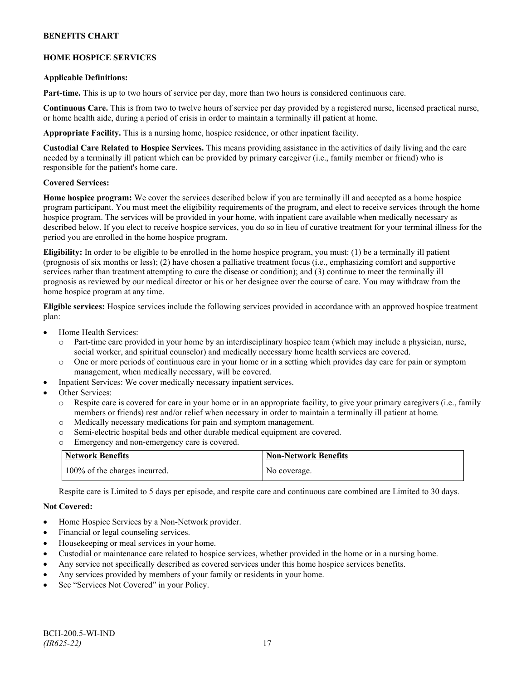# **HOME HOSPICE SERVICES**

#### **Applicable Definitions:**

**Part-time.** This is up to two hours of service per day, more than two hours is considered continuous care.

**Continuous Care.** This is from two to twelve hours of service per day provided by a registered nurse, licensed practical nurse, or home health aide, during a period of crisis in order to maintain a terminally ill patient at home.

**Appropriate Facility.** This is a nursing home, hospice residence, or other inpatient facility.

**Custodial Care Related to Hospice Services.** This means providing assistance in the activities of daily living and the care needed by a terminally ill patient which can be provided by primary caregiver (i.e., family member or friend) who is responsible for the patient's home care.

#### **Covered Services:**

**Home hospice program:** We cover the services described below if you are terminally ill and accepted as a home hospice program participant. You must meet the eligibility requirements of the program, and elect to receive services through the home hospice program. The services will be provided in your home, with inpatient care available when medically necessary as described below. If you elect to receive hospice services, you do so in lieu of curative treatment for your terminal illness for the period you are enrolled in the home hospice program.

**Eligibility:** In order to be eligible to be enrolled in the home hospice program, you must: (1) be a terminally ill patient (prognosis of six months or less); (2) have chosen a palliative treatment focus (i.e., emphasizing comfort and supportive services rather than treatment attempting to cure the disease or condition); and (3) continue to meet the terminally ill prognosis as reviewed by our medical director or his or her designee over the course of care. You may withdraw from the home hospice program at any time.

**Eligible services:** Hospice services include the following services provided in accordance with an approved hospice treatment plan:

- Home Health Services:
	- o Part-time care provided in your home by an interdisciplinary hospice team (which may include a physician, nurse, social worker, and spiritual counselor) and medically necessary home health services are covered.
	- o One or more periods of continuous care in your home or in a setting which provides day care for pain or symptom management, when medically necessary, will be covered.
- Inpatient Services: We cover medically necessary inpatient services.
- Other Services:
	- Respite care is covered for care in your home or in an appropriate facility, to give your primary caregivers (i.e., family members or friends) rest and/or relief when necessary in order to maintain a terminally ill patient at home*.*
	- o Medically necessary medications for pain and symptom management.
	- o Semi-electric hospital beds and other durable medical equipment are covered.
	- o Emergency and non-emergency care is covered.

| <b>Network Benefits</b>       | <b>Non-Network Benefits</b> |
|-------------------------------|-----------------------------|
| 100% of the charges incurred. | No coverage.                |

Respite care is Limited to 5 days per episode, and respite care and continuous care combined are Limited to 30 days.

## **Not Covered:**

- Home Hospice Services by a Non-Network provider.
- Financial or legal counseling services.
- Housekeeping or meal services in your home.
- Custodial or maintenance care related to hospice services, whether provided in the home or in a nursing home.
- Any service not specifically described as covered services under this home hospice services benefits.
- Any services provided by members of your family or residents in your home.
- See "Services Not Covered" in your Policy.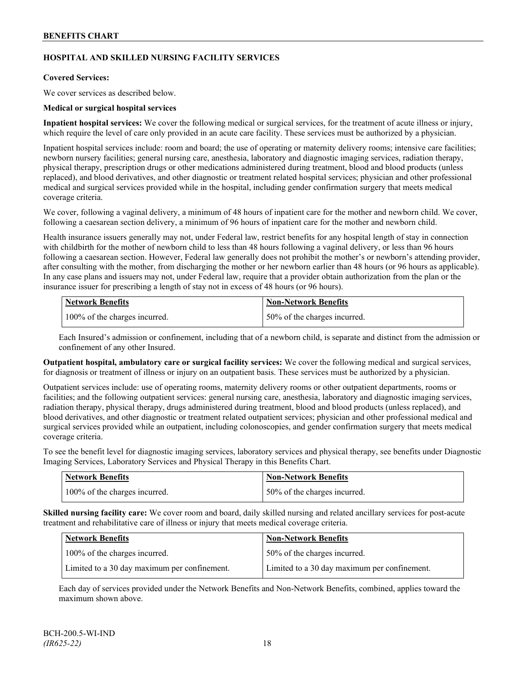# **HOSPITAL AND SKILLED NURSING FACILITY SERVICES**

#### **Covered Services:**

We cover services as described below.

#### **Medical or surgical hospital services**

**Inpatient hospital services:** We cover the following medical or surgical services, for the treatment of acute illness or injury, which require the level of care only provided in an acute care facility. These services must be authorized by a physician.

Inpatient hospital services include: room and board; the use of operating or maternity delivery rooms; intensive care facilities; newborn nursery facilities; general nursing care, anesthesia, laboratory and diagnostic imaging services, radiation therapy, physical therapy, prescription drugs or other medications administered during treatment, blood and blood products (unless replaced), and blood derivatives, and other diagnostic or treatment related hospital services; physician and other professional medical and surgical services provided while in the hospital, including gender confirmation surgery that meets medical coverage criteria.

We cover, following a vaginal delivery, a minimum of 48 hours of inpatient care for the mother and newborn child. We cover, following a caesarean section delivery, a minimum of 96 hours of inpatient care for the mother and newborn child.

Health insurance issuers generally may not, under Federal law, restrict benefits for any hospital length of stay in connection with childbirth for the mother of newborn child to less than 48 hours following a vaginal delivery, or less than 96 hours following a caesarean section. However, Federal law generally does not prohibit the mother's or newborn's attending provider, after consulting with the mother, from discharging the mother or her newborn earlier than 48 hours (or 96 hours as applicable). In any case plans and issuers may not, under Federal law, require that a provider obtain authorization from the plan or the insurance issuer for prescribing a length of stay not in excess of 48 hours (or 96 hours).

| Network Benefits              | <b>Non-Network Benefits</b>  |
|-------------------------------|------------------------------|
| 100% of the charges incurred. | 50% of the charges incurred. |

Each Insured's admission or confinement, including that of a newborn child, is separate and distinct from the admission or confinement of any other Insured.

**Outpatient hospital, ambulatory care or surgical facility services:** We cover the following medical and surgical services, for diagnosis or treatment of illness or injury on an outpatient basis. These services must be authorized by a physician.

Outpatient services include: use of operating rooms, maternity delivery rooms or other outpatient departments, rooms or facilities; and the following outpatient services: general nursing care, anesthesia, laboratory and diagnostic imaging services, radiation therapy, physical therapy, drugs administered during treatment, blood and blood products (unless replaced), and blood derivatives, and other diagnostic or treatment related outpatient services; physician and other professional medical and surgical services provided while an outpatient, including colonoscopies, and gender confirmation surgery that meets medical coverage criteria.

To see the benefit level for diagnostic imaging services, laboratory services and physical therapy, see benefits under Diagnostic Imaging Services, Laboratory Services and Physical Therapy in this Benefits Chart.

| <b>Network Benefits</b>       | <b>Non-Network Benefits</b>  |
|-------------------------------|------------------------------|
| 100% of the charges incurred. | 50% of the charges incurred. |

**Skilled nursing facility care:** We cover room and board, daily skilled nursing and related ancillary services for post-acute treatment and rehabilitative care of illness or injury that meets medical coverage criteria.

| Network Benefits                             | <b>Non-Network Benefits</b>                  |
|----------------------------------------------|----------------------------------------------|
| 100% of the charges incurred.                | 50% of the charges incurred.                 |
| Limited to a 30 day maximum per confinement. | Limited to a 30 day maximum per confinement. |

Each day of services provided under the Network Benefits and Non-Network Benefits, combined, applies toward the maximum shown above.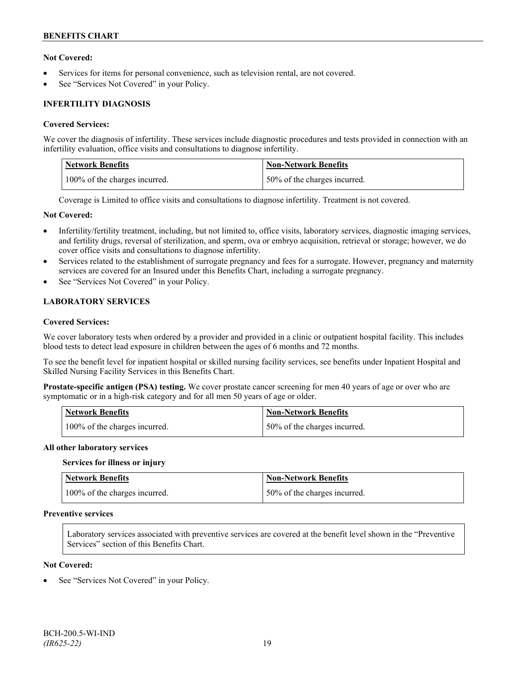## **Not Covered:**

- Services for items for personal convenience, such as television rental, are not covered.
- See "Services Not Covered" in your Policy.

# **INFERTILITY DIAGNOSIS**

#### **Covered Services:**

We cover the diagnosis of infertility. These services include diagnostic procedures and tests provided in connection with an infertility evaluation, office visits and consultations to diagnose infertility.

| Network Benefits              | <b>Non-Network Benefits</b>  |
|-------------------------------|------------------------------|
| 100% of the charges incurred. | 50% of the charges incurred. |

Coverage is Limited to office visits and consultations to diagnose infertility. Treatment is not covered.

#### **Not Covered:**

- Infertility/fertility treatment, including, but not limited to, office visits, laboratory services, diagnostic imaging services, and fertility drugs, reversal of sterilization, and sperm, ova or embryo acquisition, retrieval or storage; however, we do cover office visits and consultations to diagnose infertility.
- Services related to the establishment of surrogate pregnancy and fees for a surrogate. However, pregnancy and maternity services are covered for an Insured under this Benefits Chart, including a surrogate pregnancy.
- See "Services Not Covered" in your Policy.

# **LABORATORY SERVICES**

#### **Covered Services:**

We cover laboratory tests when ordered by a provider and provided in a clinic or outpatient hospital facility. This includes blood tests to detect lead exposure in children between the ages of 6 months and 72 months.

To see the benefit level for inpatient hospital or skilled nursing facility services, see benefits under Inpatient Hospital and Skilled Nursing Facility Services in this Benefits Chart.

**Prostate-specific antigen (PSA) testing.** We cover prostate cancer screening for men 40 years of age or over who are symptomatic or in a high-risk category and for all men 50 years of age or older.

| <b>Network Benefits</b>       | <b>Non-Network Benefits</b>  |
|-------------------------------|------------------------------|
| 100% of the charges incurred. | 50% of the charges incurred. |

#### **All other laboratory services**

#### **Services for illness or injury**

| <b>Network Benefits</b>       | <b>Non-Network Benefits</b>  |
|-------------------------------|------------------------------|
| 100% of the charges incurred. | 50% of the charges incurred. |

## **Preventive services**

Laboratory services associated with preventive services are covered at the benefit level shown in the "Preventive Services" section of this Benefits Chart.

#### **Not Covered:**

See "Services Not Covered" in your Policy.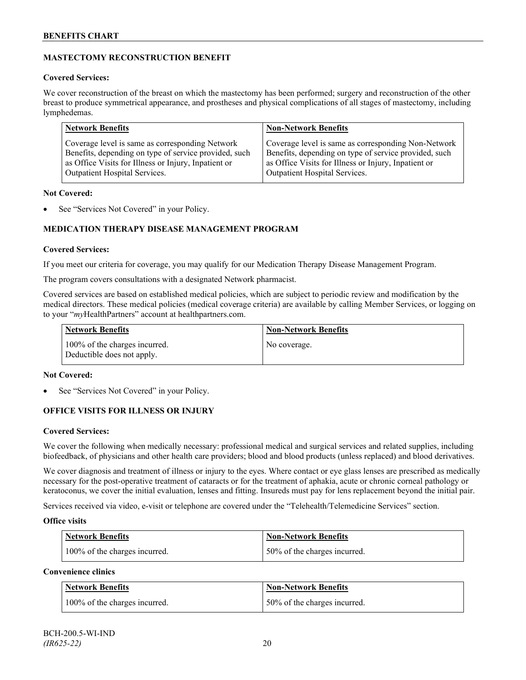# **MASTECTOMY RECONSTRUCTION BENEFIT**

## **Covered Services:**

We cover reconstruction of the breast on which the mastectomy has been performed; surgery and reconstruction of the other breast to produce symmetrical appearance, and prostheses and physical complications of all stages of mastectomy, including lymphedemas.

| <b>Network Benefits</b>                               | <b>Non-Network Benefits</b>                           |
|-------------------------------------------------------|-------------------------------------------------------|
| Coverage level is same as corresponding Network       | Coverage level is same as corresponding Non-Network   |
| Benefits, depending on type of service provided, such | Benefits, depending on type of service provided, such |
| as Office Visits for Illness or Injury, Inpatient or  | as Office Visits for Illness or Injury, Inpatient or  |
| Outpatient Hospital Services.                         | Outpatient Hospital Services.                         |

## **Not Covered:**

See "Services Not Covered" in your Policy.

# **MEDICATION THERAPY DISEASE MANAGEMENT PROGRAM**

## **Covered Services:**

If you meet our criteria for coverage, you may qualify for our Medication Therapy Disease Management Program.

The program covers consultations with a designated Network pharmacist.

Covered services are based on established medical policies, which are subject to periodic review and modification by the medical directors. These medical policies (medical coverage criteria) are available by calling Member Services, or logging on to your "*my*HealthPartners" account at [healthpartners.com.](http://www.healthpartners.com/)

| <b>Network Benefits</b>                                     | <b>Non-Network Benefits</b> |
|-------------------------------------------------------------|-----------------------------|
| 100% of the charges incurred.<br>Deductible does not apply. | No coverage.                |

## **Not Covered:**

See "Services Not Covered" in your Policy.

# **OFFICE VISITS FOR ILLNESS OR INJURY**

## **Covered Services:**

We cover the following when medically necessary: professional medical and surgical services and related supplies, including biofeedback, of physicians and other health care providers; blood and blood products (unless replaced) and blood derivatives.

We cover diagnosis and treatment of illness or injury to the eyes. Where contact or eye glass lenses are prescribed as medically necessary for the post-operative treatment of cataracts or for the treatment of aphakia, acute or chronic corneal pathology or keratoconus, we cover the initial evaluation, lenses and fitting. Insureds must pay for lens replacement beyond the initial pair.

Services received via video, e-visit or telephone are covered under the "Telehealth/Telemedicine Services" section.

## **Office visits**

| Network Benefits              | <b>Non-Network Benefits</b>  |
|-------------------------------|------------------------------|
| 100% of the charges incurred. | 50% of the charges incurred. |

# **Convenience clinics**

| <b>Network Benefits</b>       | <b>Non-Network Benefits</b>  |
|-------------------------------|------------------------------|
| 100% of the charges incurred. | 50% of the charges incurred. |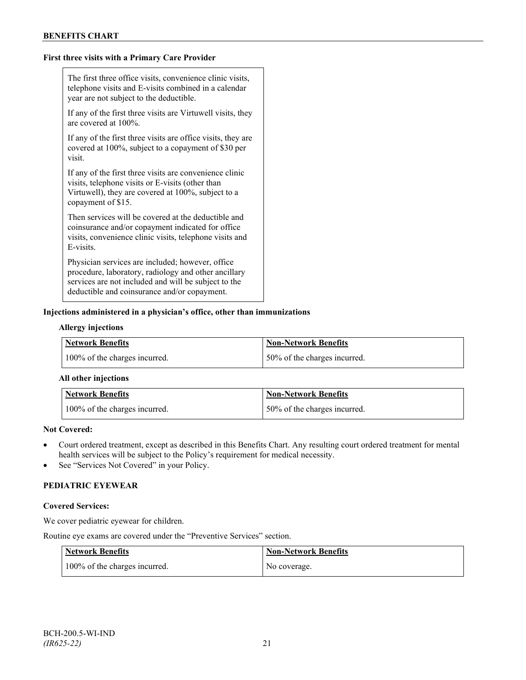# **First three visits with a Primary Care Provider**

| The first three office visits, convenience clinic visits,<br>telephone visits and E-visits combined in a calendar<br>year are not subject to the deductible.                                                     |
|------------------------------------------------------------------------------------------------------------------------------------------------------------------------------------------------------------------|
| If any of the first three visits are Virtuwell visits, they<br>are covered at 100%.                                                                                                                              |
| If any of the first three visits are office visits, they are<br>covered at 100%, subject to a copayment of \$30 per<br>visit.                                                                                    |
| If any of the first three visits are convenience clinic<br>visits, telephone visits or E-visits (other than<br>Virtuwell), they are covered at 100%, subject to a<br>copayment of \$15.                          |
| Then services will be covered at the deductible and<br>coinsurance and/or copayment indicated for office<br>visits, convenience clinic visits, telephone visits and<br>E-visits.                                 |
| Physician services are included; however, office<br>procedure, laboratory, radiology and other ancillary<br>services are not included and will be subject to the<br>deductible and coinsurance and/or copayment. |

# **Injections administered in a physician's office, other than immunizations**

#### **Allergy injections**

| Network Benefits              | Non-Network Benefits         |
|-------------------------------|------------------------------|
| 100% of the charges incurred. | 50% of the charges incurred. |

#### **All other injections**

| Network Benefits              | <b>Non-Network Benefits</b>  |
|-------------------------------|------------------------------|
| 100% of the charges incurred. | 50% of the charges incurred. |

# **Not Covered:**

- Court ordered treatment, except as described in this Benefits Chart. Any resulting court ordered treatment for mental health services will be subject to the Policy's requirement for medical necessity.
- See "Services Not Covered" in your Policy.

# **PEDIATRIC EYEWEAR**

#### **Covered Services:**

We cover pediatric eyewear for children.

Routine eye exams are covered under the "Preventive Services" section.

| Network Benefits              | <b>Non-Network Benefits</b> |
|-------------------------------|-----------------------------|
| 100% of the charges incurred. | No coverage.                |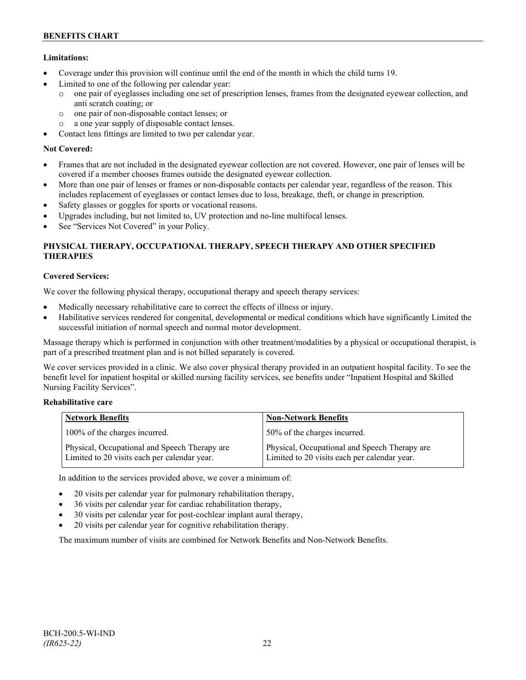# **Limitations:**

- Coverage under this provision will continue until the end of the month in which the child turns 19.
- Limited to one of the following per calendar year:
	- o one pair of eyeglasses including one set of prescription lenses, frames from the designated eyewear collection, and anti scratch coating; or
	- o one pair of non-disposable contact lenses; or
	- o a one year supply of disposable contact lenses.
- Contact lens fittings are limited to two per calendar year.

# **Not Covered:**

- Frames that are not included in the designated eyewear collection are not covered. However, one pair of lenses will be covered if a member chooses frames outside the designated eyewear collection.
- More than one pair of lenses or frames or non-disposable contacts per calendar year, regardless of the reason. This includes replacement of eyeglasses or contact lenses due to loss, breakage, theft, or change in prescription.
- Safety glasses or goggles for sports or vocational reasons.
- Upgrades including, but not limited to, UV protection and no-line multifocal lenses.
- See "Services Not Covered" in your Policy.

# **PHYSICAL THERAPY, OCCUPATIONAL THERAPY, SPEECH THERAPY AND OTHER SPECIFIED THERAPIES**

# **Covered Services:**

We cover the following physical therapy, occupational therapy and speech therapy services:

- Medically necessary rehabilitative care to correct the effects of illness or injury.
- Habilitative services rendered for congenital, developmental or medical conditions which have significantly Limited the successful initiation of normal speech and normal motor development.

Massage therapy which is performed in conjunction with other treatment/modalities by a physical or occupational therapist, is part of a prescribed treatment plan and is not billed separately is covered.

We cover services provided in a clinic. We also cover physical therapy provided in an outpatient hospital facility. To see the benefit level for inpatient hospital or skilled nursing facility services, see benefits under "Inpatient Hospital and Skilled Nursing Facility Services".

# **Rehabilitative care**

| <b>Network Benefits</b>                                                                       | <b>Non-Network Benefits</b>                                                                   |
|-----------------------------------------------------------------------------------------------|-----------------------------------------------------------------------------------------------|
| 100% of the charges incurred.                                                                 | 50% of the charges incurred.                                                                  |
| Physical, Occupational and Speech Therapy are<br>Limited to 20 visits each per calendar year. | Physical, Occupational and Speech Therapy are<br>Limited to 20 visits each per calendar year. |

In addition to the services provided above, we cover a minimum of:

- 20 visits per calendar year for pulmonary rehabilitation therapy,
- 36 visits per calendar year for cardiac rehabilitation therapy,
- 30 visits per calendar year for post-cochlear implant aural therapy,
- 20 visits per calendar year for cognitive rehabilitation therapy.

The maximum number of visits are combined for Network Benefits and Non-Network Benefits.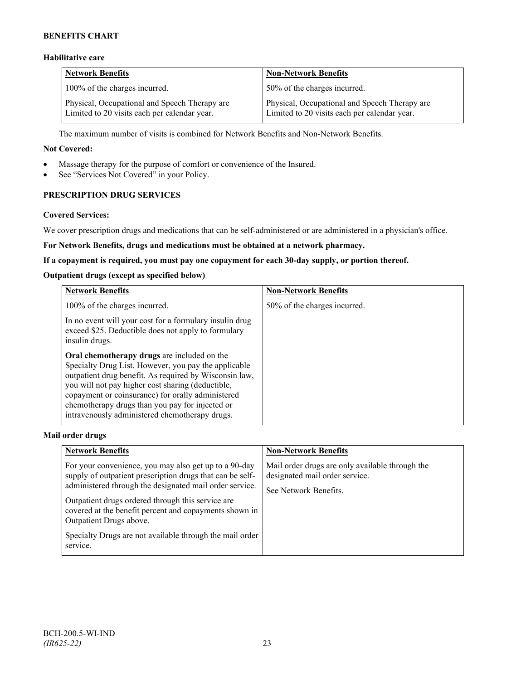# **Habilitative care**

| <b>Network Benefits</b>                                                                       | <b>Non-Network Benefits</b>                                                                   |
|-----------------------------------------------------------------------------------------------|-----------------------------------------------------------------------------------------------|
| 100% of the charges incurred.                                                                 | 50% of the charges incurred.                                                                  |
| Physical, Occupational and Speech Therapy are<br>Limited to 20 visits each per calendar year. | Physical, Occupational and Speech Therapy are<br>Limited to 20 visits each per calendar year. |

The maximum number of visits is combined for Network Benefits and Non-Network Benefits.

#### **Not Covered:**

- Massage therapy for the purpose of comfort or convenience of the Insured.
- See "Services Not Covered" in your Policy.

# **PRESCRIPTION DRUG SERVICES**

#### **Covered Services:**

We cover prescription drugs and medications that can be self-administered or are administered in a physician's office.

#### **For Network Benefits, drugs and medications must be obtained at a network pharmacy.**

#### **If a copayment is required, you must pay one copayment for each 30-day supply, or portion thereof.**

## **Outpatient drugs (except as specified below)**

| <b>Network Benefits</b>                                                                                                                                                                                                                                                                                                                                                      | <b>Non-Network Benefits</b>  |
|------------------------------------------------------------------------------------------------------------------------------------------------------------------------------------------------------------------------------------------------------------------------------------------------------------------------------------------------------------------------------|------------------------------|
| 100% of the charges incurred.                                                                                                                                                                                                                                                                                                                                                | 50% of the charges incurred. |
| In no event will your cost for a formulary insulin drug<br>exceed \$25. Deductible does not apply to formulary<br>insulin drugs.                                                                                                                                                                                                                                             |                              |
| Oral chemotherapy drugs are included on the<br>Specialty Drug List. However, you pay the applicable<br>outpatient drug benefit. As required by Wisconsin law,<br>you will not pay higher cost sharing (deductible,<br>copayment or coinsurance) for orally administered<br>chemotherapy drugs than you pay for injected or<br>intravenously administered chemotherapy drugs. |                              |

#### **Mail order drugs**

| <b>Network Benefits</b>                                                                                                                                                                                                                                                                                                                                                                         | <b>Non-Network Benefits</b>                                                                                |
|-------------------------------------------------------------------------------------------------------------------------------------------------------------------------------------------------------------------------------------------------------------------------------------------------------------------------------------------------------------------------------------------------|------------------------------------------------------------------------------------------------------------|
| For your convenience, you may also get up to a 90-day<br>supply of outpatient prescription drugs that can be self-<br>administered through the designated mail order service.<br>Outpatient drugs ordered through this service are<br>covered at the benefit percent and copayments shown in<br>Outpatient Drugs above.<br>Specialty Drugs are not available through the mail order<br>service. | Mail order drugs are only available through the<br>designated mail order service.<br>See Network Benefits. |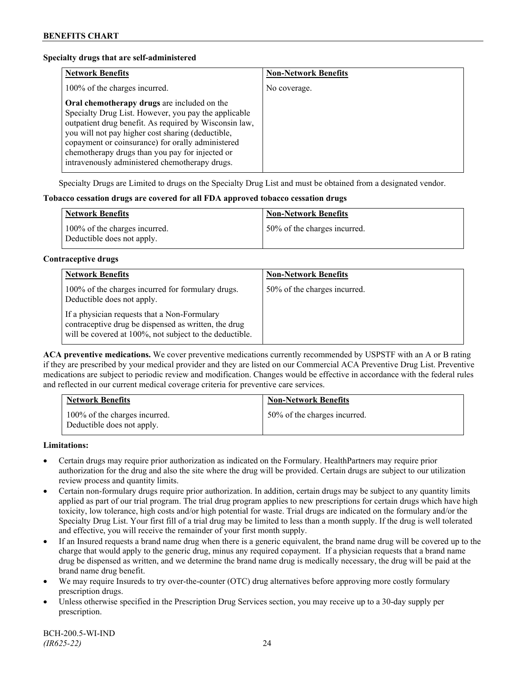#### **Specialty drugs that are self-administered**

| <b>Network Benefits</b>                                                                                                                                                                                                                                                                                                                                                      | <b>Non-Network Benefits</b> |
|------------------------------------------------------------------------------------------------------------------------------------------------------------------------------------------------------------------------------------------------------------------------------------------------------------------------------------------------------------------------------|-----------------------------|
| 100% of the charges incurred.                                                                                                                                                                                                                                                                                                                                                | No coverage.                |
| Oral chemotherapy drugs are included on the<br>Specialty Drug List. However, you pay the applicable<br>outpatient drug benefit. As required by Wisconsin law,<br>you will not pay higher cost sharing (deductible,<br>copayment or coinsurance) for orally administered<br>chemotherapy drugs than you pay for injected or<br>intravenously administered chemotherapy drugs. |                             |

Specialty Drugs are Limited to drugs on the Specialty Drug List and must be obtained from a designated vendor.

#### **Tobacco cessation drugs are covered for all FDA approved tobacco cessation drugs**

| <b>Network Benefits</b>                                     | <b>Non-Network Benefits</b>  |
|-------------------------------------------------------------|------------------------------|
| 100% of the charges incurred.<br>Deductible does not apply. | 50% of the charges incurred. |

## **Contraceptive drugs**

| <b>Network Benefits</b>                                                                                                                                         | <b>Non-Network Benefits</b>  |
|-----------------------------------------------------------------------------------------------------------------------------------------------------------------|------------------------------|
| 100% of the charges incurred for formulary drugs.<br>Deductible does not apply.                                                                                 | 50% of the charges incurred. |
| If a physician requests that a Non-Formulary<br>contraceptive drug be dispensed as written, the drug<br>will be covered at 100%, not subject to the deductible. |                              |

**ACA preventive medications.** We cover preventive medications currently recommended by USPSTF with an A or B rating if they are prescribed by your medical provider and they are listed on our Commercial ACA Preventive Drug List. Preventive medications are subject to periodic review and modification. Changes would be effective in accordance with the federal rules and reflected in our current medical coverage criteria for preventive care services.

| <b>Network Benefits</b>                                     | <b>Non-Network Benefits</b>  |
|-------------------------------------------------------------|------------------------------|
| 100% of the charges incurred.<br>Deductible does not apply. | 50% of the charges incurred. |

#### **Limitations:**

- Certain drugs may require prior authorization as indicated on the Formulary. HealthPartners may require prior authorization for the drug and also the site where the drug will be provided. Certain drugs are subject to our utilization review process and quantity limits.
- Certain non-formulary drugs require prior authorization. In addition, certain drugs may be subject to any quantity limits applied as part of our trial program. The trial drug program applies to new prescriptions for certain drugs which have high toxicity, low tolerance, high costs and/or high potential for waste. Trial drugs are indicated on the formulary and/or the Specialty Drug List. Your first fill of a trial drug may be limited to less than a month supply. If the drug is well tolerated and effective, you will receive the remainder of your first month supply.
- If an Insured requests a brand name drug when there is a generic equivalent, the brand name drug will be covered up to the charge that would apply to the generic drug, minus any required copayment. If a physician requests that a brand name drug be dispensed as written, and we determine the brand name drug is medically necessary, the drug will be paid at the brand name drug benefit.
- We may require Insureds to try over-the-counter (OTC) drug alternatives before approving more costly formulary prescription drugs.
- Unless otherwise specified in the Prescription Drug Services section, you may receive up to a 30-day supply per prescription.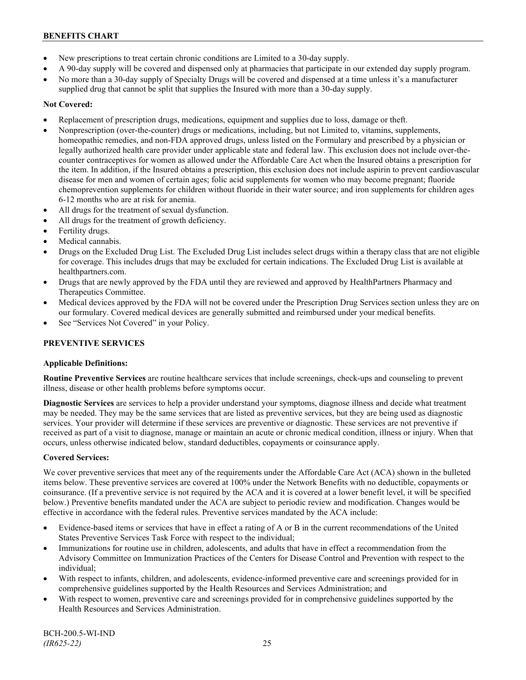- New prescriptions to treat certain chronic conditions are Limited to a 30-day supply.
- A 90-day supply will be covered and dispensed only at pharmacies that participate in our extended day supply program.
- No more than a 30-day supply of Specialty Drugs will be covered and dispensed at a time unless it's a manufacturer supplied drug that cannot be split that supplies the Insured with more than a 30-day supply.

# **Not Covered:**

- Replacement of prescription drugs, medications, equipment and supplies due to loss, damage or theft.
- Nonprescription (over-the-counter) drugs or medications, including, but not Limited to, vitamins, supplements, homeopathic remedies, and non-FDA approved drugs, unless listed on the Formulary and prescribed by a physician or legally authorized health care provider under applicable state and federal law. This exclusion does not include over-thecounter contraceptives for women as allowed under the Affordable Care Act when the Insured obtains a prescription for the item. In addition, if the Insured obtains a prescription, this exclusion does not include aspirin to prevent cardiovascular disease for men and women of certain ages; folic acid supplements for women who may become pregnant; fluoride chemoprevention supplements for children without fluoride in their water source; and iron supplements for children ages 6-12 months who are at risk for anemia.
- All drugs for the treatment of sexual dysfunction.
- All drugs for the treatment of growth deficiency.
- Fertility drugs.
- Medical cannabis.
- Drugs on the Excluded Drug List. The Excluded Drug List includes select drugs within a therapy class that are not eligible for coverage. This includes drugs that may be excluded for certain indications. The Excluded Drug List is available at [healthpartners.com.](http://www.healthpartners.com/)
- Drugs that are newly approved by the FDA until they are reviewed and approved by HealthPartners Pharmacy and Therapeutics Committee.
- Medical devices approved by the FDA will not be covered under the Prescription Drug Services section unless they are on our formulary. Covered medical devices are generally submitted and reimbursed under your medical benefits.
- See "Services Not Covered" in your Policy.

# **PREVENTIVE SERVICES**

## **Applicable Definitions:**

**Routine Preventive Services** are routine healthcare services that include screenings, check-ups and counseling to prevent illness, disease or other health problems before symptoms occur.

**Diagnostic Services** are services to help a provider understand your symptoms, diagnose illness and decide what treatment may be needed. They may be the same services that are listed as preventive services, but they are being used as diagnostic services. Your provider will determine if these services are preventive or diagnostic. These services are not preventive if received as part of a visit to diagnose, manage or maintain an acute or chronic medical condition, illness or injury. When that occurs, unless otherwise indicated below, standard deductibles, copayments or coinsurance apply.

## **Covered Services:**

We cover preventive services that meet any of the requirements under the Affordable Care Act (ACA) shown in the bulleted items below. These preventive services are covered at 100% under the Network Benefits with no deductible, copayments or coinsurance. (If a preventive service is not required by the ACA and it is covered at a lower benefit level, it will be specified below.) Preventive benefits mandated under the ACA are subject to periodic review and modification. Changes would be effective in accordance with the federal rules. Preventive services mandated by the ACA include:

- Evidence-based items or services that have in effect a rating of A or B in the current recommendations of the United States Preventive Services Task Force with respect to the individual;
- Immunizations for routine use in children, adolescents, and adults that have in effect a recommendation from the Advisory Committee on Immunization Practices of the Centers for Disease Control and Prevention with respect to the individual;
- With respect to infants, children, and adolescents, evidence-informed preventive care and screenings provided for in comprehensive guidelines supported by the Health Resources and Services Administration; and
- With respect to women, preventive care and screenings provided for in comprehensive guidelines supported by the Health Resources and Services Administration.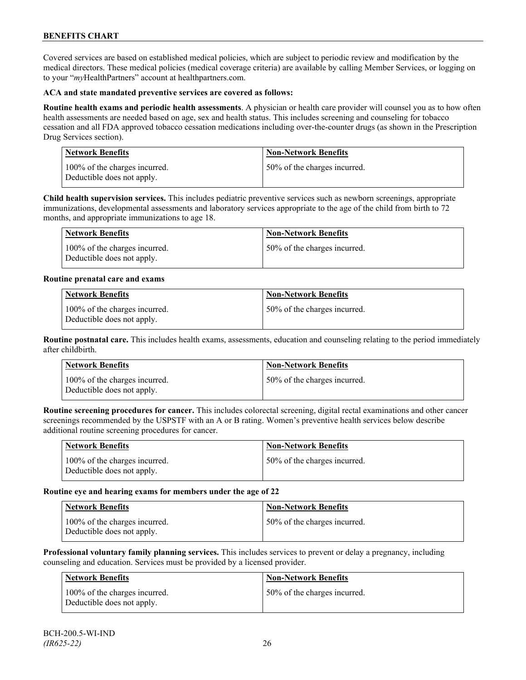Covered services are based on established medical policies, which are subject to periodic review and modification by the medical directors. These medical policies (medical coverage criteria) are available by calling Member Services, or logging on to your "*my*HealthPartners" account at [healthpartners.com.](http://www.healthpartners.com/)

## **ACA and state mandated preventive services are covered as follows:**

**Routine health exams and periodic health assessments**. A physician or health care provider will counsel you as to how often health assessments are needed based on age, sex and health status. This includes screening and counseling for tobacco cessation and all FDA approved tobacco cessation medications including over-the-counter drugs (as shown in the Prescription Drug Services section).

| <b>Network Benefits</b>                                     | <b>Non-Network Benefits</b>  |
|-------------------------------------------------------------|------------------------------|
| 100% of the charges incurred.<br>Deductible does not apply. | 50% of the charges incurred. |

**Child health supervision services.** This includes pediatric preventive services such as newborn screenings, appropriate immunizations, developmental assessments and laboratory services appropriate to the age of the child from birth to 72 months, and appropriate immunizations to age 18.

| <b>Network Benefits</b>                                     | <b>Non-Network Benefits</b>  |
|-------------------------------------------------------------|------------------------------|
| 100% of the charges incurred.<br>Deductible does not apply. | 50% of the charges incurred. |

## **Routine prenatal care and exams**

| Network Benefits                                            | <b>Non-Network Benefits</b>  |
|-------------------------------------------------------------|------------------------------|
| 100% of the charges incurred.<br>Deductible does not apply. | 50% of the charges incurred. |

**Routine postnatal care.** This includes health exams, assessments, education and counseling relating to the period immediately after childbirth.

| <b>Network Benefits</b>                                     | <b>Non-Network Benefits</b>  |
|-------------------------------------------------------------|------------------------------|
| 100% of the charges incurred.<br>Deductible does not apply. | 50% of the charges incurred. |

**Routine screening procedures for cancer.** This includes colorectal screening, digital rectal examinations and other cancer screenings recommended by the USPSTF with an A or B rating. Women's preventive health services below describe additional routine screening procedures for cancer.

| Network Benefits                                            | <b>Non-Network Benefits</b>  |
|-------------------------------------------------------------|------------------------------|
| 100% of the charges incurred.<br>Deductible does not apply. | 50% of the charges incurred. |

## **Routine eye and hearing exams for members under the age of 22**

| <b>Network Benefits</b>                                     | <b>Non-Network Benefits</b>   |
|-------------------------------------------------------------|-------------------------------|
| 100% of the charges incurred.<br>Deductible does not apply. | 150% of the charges incurred. |

**Professional voluntary family planning services.** This includes services to prevent or delay a pregnancy, including counseling and education. Services must be provided by a licensed provider.

| Network Benefits                                               | <b>Non-Network Benefits</b>  |
|----------------------------------------------------------------|------------------------------|
| $100\%$ of the charges incurred.<br>Deductible does not apply. | 50% of the charges incurred. |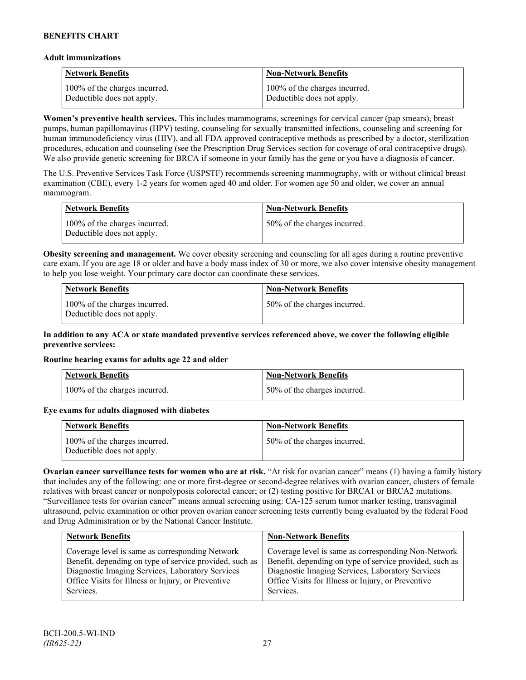# **Adult immunizations**

| <b>Network Benefits</b>       | <b>Non-Network Benefits</b>   |
|-------------------------------|-------------------------------|
| 100% of the charges incurred. | 100% of the charges incurred. |
| Deductible does not apply.    | Deductible does not apply.    |

**Women's preventive health services.** This includes mammograms, screenings for cervical cancer (pap smears), breast pumps, human papillomavirus (HPV) testing, counseling for sexually transmitted infections, counseling and screening for human immunodeficiency virus (HIV), and all FDA approved contraceptive methods as prescribed by a doctor, sterilization procedures, education and counseling (see the Prescription Drug Services section for coverage of oral contraceptive drugs). We also provide genetic screening for BRCA if someone in your family has the gene or you have a diagnosis of cancer.

The U.S. Preventive Services Task Force (USPSTF) recommends screening mammography, with or without clinical breast examination (CBE), every 1-2 years for women aged 40 and older. For women age 50 and older, we cover an annual mammogram.

| <b>Network Benefits</b>                                     | <b>Non-Network Benefits</b>  |
|-------------------------------------------------------------|------------------------------|
| 100% of the charges incurred.<br>Deductible does not apply. | 50% of the charges incurred. |

**Obesity screening and management.** We cover obesity screening and counseling for all ages during a routine preventive care exam. If you are age 18 or older and have a body mass index of 30 or more, we also cover intensive obesity management to help you lose weight. Your primary care doctor can coordinate these services.

| Network Benefits                                            | <b>Non-Network Benefits</b>  |
|-------------------------------------------------------------|------------------------------|
| 100% of the charges incurred.<br>Deductible does not apply. | 50% of the charges incurred. |

#### **In addition to any ACA or state mandated preventive services referenced above, we cover the following eligible preventive services:**

## **Routine hearing exams for adults age 22 and older**

| Network Benefits              | <b>Non-Network Benefits</b>  |
|-------------------------------|------------------------------|
| 100% of the charges incurred. | 50% of the charges incurred. |

# **Eye exams for adults diagnosed with diabetes**

| Network Benefits                                            | <b>Non-Network Benefits</b>  |
|-------------------------------------------------------------|------------------------------|
| 100% of the charges incurred.<br>Deductible does not apply. | 50% of the charges incurred. |

**Ovarian cancer surveillance tests for women who are at risk.** "At risk for ovarian cancer" means (1) having a family history that includes any of the following: one or more first-degree or second-degree relatives with ovarian cancer, clusters of female relatives with breast cancer or nonpolyposis colorectal cancer; or (2) testing positive for BRCA1 or BRCA2 mutations. "Surveillance tests for ovarian cancer" means annual screening using: CA-125 serum tumor marker testing, transvaginal ultrasound, pelvic examination or other proven ovarian cancer screening tests currently being evaluated by the federal Food and Drug Administration or by the National Cancer Institute.

| <b>Network Benefits</b>                                                                                                                                                                                                           | <b>Non-Network Benefits</b>                                                                                                                                                                                                           |
|-----------------------------------------------------------------------------------------------------------------------------------------------------------------------------------------------------------------------------------|---------------------------------------------------------------------------------------------------------------------------------------------------------------------------------------------------------------------------------------|
| Coverage level is same as corresponding Network<br>Benefit, depending on type of service provided, such as<br>Diagnostic Imaging Services, Laboratory Services<br>Office Visits for Illness or Injury, or Preventive<br>Services. | Coverage level is same as corresponding Non-Network<br>Benefit, depending on type of service provided, such as<br>Diagnostic Imaging Services, Laboratory Services<br>Office Visits for Illness or Injury, or Preventive<br>Services. |
|                                                                                                                                                                                                                                   |                                                                                                                                                                                                                                       |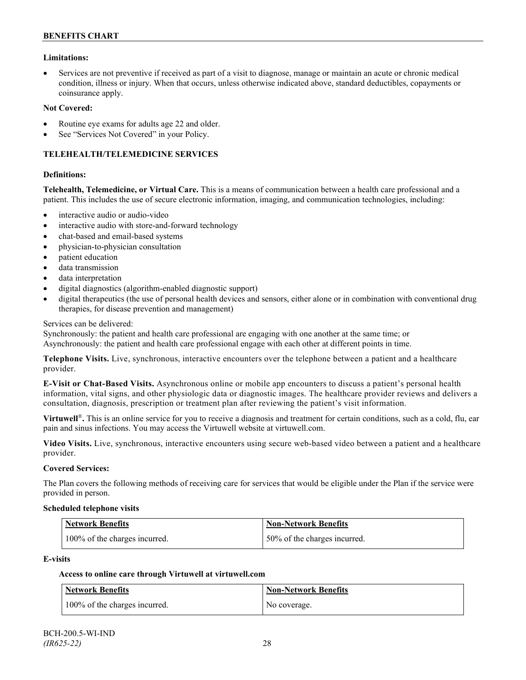#### **Limitations:**

• Services are not preventive if received as part of a visit to diagnose, manage or maintain an acute or chronic medical condition, illness or injury. When that occurs, unless otherwise indicated above, standard deductibles, copayments or coinsurance apply.

#### **Not Covered:**

- Routine eye exams for adults age 22 and older.
- See "Services Not Covered" in your Policy.

#### **TELEHEALTH/TELEMEDICINE SERVICES**

#### **Definitions:**

**Telehealth, Telemedicine, or Virtual Care.** This is a means of communication between a health care professional and a patient. This includes the use of secure electronic information, imaging, and communication technologies, including:

- interactive audio or audio-video
- interactive audio with store-and-forward technology
- chat-based and email-based systems
- physician-to-physician consultation
- patient education
- data transmission
- data interpretation
- digital diagnostics (algorithm-enabled diagnostic support)
- digital therapeutics (the use of personal health devices and sensors, either alone or in combination with conventional drug therapies, for disease prevention and management)

#### Services can be delivered:

Synchronously: the patient and health care professional are engaging with one another at the same time; or Asynchronously: the patient and health care professional engage with each other at different points in time.

**Telephone Visits.** Live, synchronous, interactive encounters over the telephone between a patient and a healthcare provider.

**E-Visit or Chat-Based Visits.** Asynchronous online or mobile app encounters to discuss a patient's personal health information, vital signs, and other physiologic data or diagnostic images. The healthcare provider reviews and delivers a consultation, diagnosis, prescription or treatment plan after reviewing the patient's visit information.

**Virtuwell<sup>®</sup>**. This is an online service for you to receive a diagnosis and treatment for certain conditions, such as a cold, flu, ear pain and sinus infections. You may access the Virtuwell website at [virtuwell.com.](https://www.virtuwell.com/)

**Video Visits.** Live, synchronous, interactive encounters using secure web-based video between a patient and a healthcare provider.

#### **Covered Services:**

The Plan covers the following methods of receiving care for services that would be eligible under the Plan if the service were provided in person.

#### **Scheduled telephone visits**

| <b>Network Benefits</b>       | Non-Network Benefits         |
|-------------------------------|------------------------------|
| 100% of the charges incurred. | 50% of the charges incurred. |

#### **E-visits**

## **Access to online care through Virtuwell at [virtuwell.com](http://www.virtuwell.com/)**

| Network Benefits              | Non-Network Benefits |
|-------------------------------|----------------------|
| 100% of the charges incurred. | No coverage.         |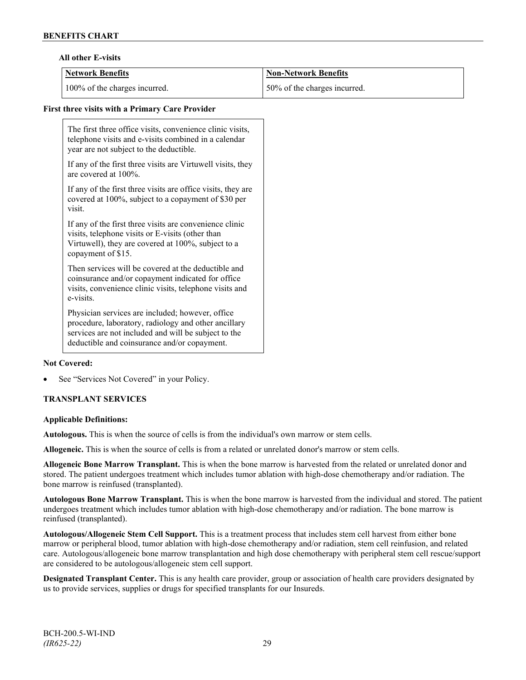#### **All other E-visits**

| Network Benefits              | <b>Non-Network Benefits</b>  |
|-------------------------------|------------------------------|
| 100% of the charges incurred. | 50% of the charges incurred. |

# **First three visits with a Primary Care Provider**

The first three office visits, convenience clinic visits, telephone visits and e-visits combined in a calendar year are not subject to the deductible.

If any of the first three visits are Virtuwell visits, they are covered at 100%.

If any of the first three visits are office visits, they are covered at 100%, subject to a copayment of \$30 per visit.

If any of the first three visits are convenience clinic visits, telephone visits or E-visits (other than Virtuwell), they are covered at 100%, subject to a copayment of \$15.

Then services will be covered at the deductible and coinsurance and/or copayment indicated for office visits, convenience clinic visits, telephone visits and e-visits.

Physician services are included; however, office procedure, laboratory, radiology and other ancillary services are not included and will be subject to the deductible and coinsurance and/or copayment.

## **Not Covered:**

See "Services Not Covered" in your Policy.

## **TRANSPLANT SERVICES**

#### **Applicable Definitions:**

**Autologous.** This is when the source of cells is from the individual's own marrow or stem cells.

**Allogeneic.** This is when the source of cells is from a related or unrelated donor's marrow or stem cells.

**Allogeneic Bone Marrow Transplant.** This is when the bone marrow is harvested from the related or unrelated donor and stored. The patient undergoes treatment which includes tumor ablation with high-dose chemotherapy and/or radiation. The bone marrow is reinfused (transplanted).

**Autologous Bone Marrow Transplant.** This is when the bone marrow is harvested from the individual and stored. The patient undergoes treatment which includes tumor ablation with high-dose chemotherapy and/or radiation. The bone marrow is reinfused (transplanted).

**Autologous/Allogeneic Stem Cell Support.** This is a treatment process that includes stem cell harvest from either bone marrow or peripheral blood, tumor ablation with high-dose chemotherapy and/or radiation, stem cell reinfusion, and related care. Autologous/allogeneic bone marrow transplantation and high dose chemotherapy with peripheral stem cell rescue/support are considered to be autologous/allogeneic stem cell support.

**Designated Transplant Center.** This is any health care provider, group or association of health care providers designated by us to provide services, supplies or drugs for specified transplants for our Insureds.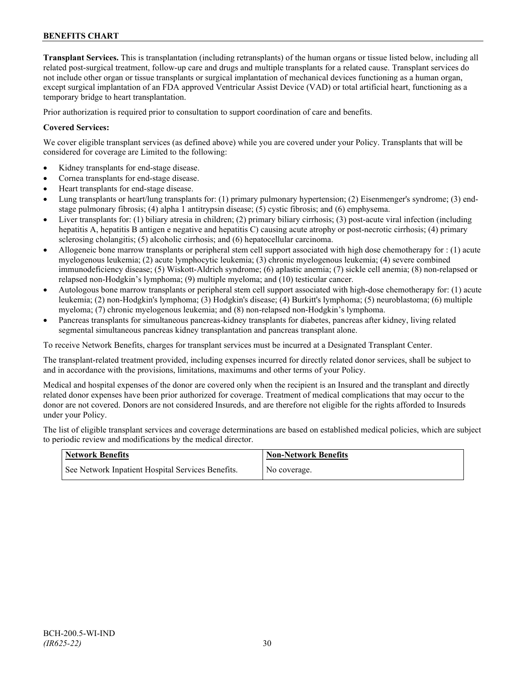**Transplant Services.** This is transplantation (including retransplants) of the human organs or tissue listed below, including all related post-surgical treatment, follow-up care and drugs and multiple transplants for a related cause. Transplant services do not include other organ or tissue transplants or surgical implantation of mechanical devices functioning as a human organ, except surgical implantation of an FDA approved Ventricular Assist Device (VAD) or total artificial heart, functioning as a temporary bridge to heart transplantation.

Prior authorization is required prior to consultation to support coordination of care and benefits.

#### **Covered Services:**

We cover eligible transplant services (as defined above) while you are covered under your Policy. Transplants that will be considered for coverage are Limited to the following:

- Kidney transplants for end-stage disease.
- Cornea transplants for end-stage disease.
- Heart transplants for end-stage disease.
- Lung transplants or heart/lung transplants for: (1) primary pulmonary hypertension; (2) Eisenmenger's syndrome; (3) endstage pulmonary fibrosis; (4) alpha 1 antitrypsin disease; (5) cystic fibrosis; and (6) emphysema.
- Liver transplants for: (1) biliary atresia in children; (2) primary biliary cirrhosis; (3) post-acute viral infection (including hepatitis A, hepatitis B antigen e negative and hepatitis C) causing acute atrophy or post-necrotic cirrhosis; (4) primary sclerosing cholangitis; (5) alcoholic cirrhosis; and (6) hepatocellular carcinoma.
- Allogeneic bone marrow transplants or peripheral stem cell support associated with high dose chemotherapy for : (1) acute myelogenous leukemia; (2) acute lymphocytic leukemia; (3) chronic myelogenous leukemia; (4) severe combined immunodeficiency disease; (5) Wiskott-Aldrich syndrome; (6) aplastic anemia; (7) sickle cell anemia; (8) non-relapsed or relapsed non-Hodgkin's lymphoma; (9) multiple myeloma; and (10) testicular cancer.
- Autologous bone marrow transplants or peripheral stem cell support associated with high-dose chemotherapy for: (1) acute leukemia; (2) non-Hodgkin's lymphoma; (3) Hodgkin's disease; (4) Burkitt's lymphoma; (5) neuroblastoma; (6) multiple myeloma; (7) chronic myelogenous leukemia; and (8) non-relapsed non-Hodgkin's lymphoma.
- Pancreas transplants for simultaneous pancreas-kidney transplants for diabetes, pancreas after kidney, living related segmental simultaneous pancreas kidney transplantation and pancreas transplant alone.

To receive Network Benefits, charges for transplant services must be incurred at a Designated Transplant Center.

The transplant-related treatment provided, including expenses incurred for directly related donor services, shall be subject to and in accordance with the provisions, limitations, maximums and other terms of your Policy.

Medical and hospital expenses of the donor are covered only when the recipient is an Insured and the transplant and directly related donor expenses have been prior authorized for coverage. Treatment of medical complications that may occur to the donor are not covered. Donors are not considered Insureds, and are therefore not eligible for the rights afforded to Insureds under your Policy.

The list of eligible transplant services and coverage determinations are based on established medical policies, which are subject to periodic review and modifications by the medical director.

| <b>Network Benefits</b>                           | Mon-Network Benefits |
|---------------------------------------------------|----------------------|
| See Network Inpatient Hospital Services Benefits. | No coverage.         |